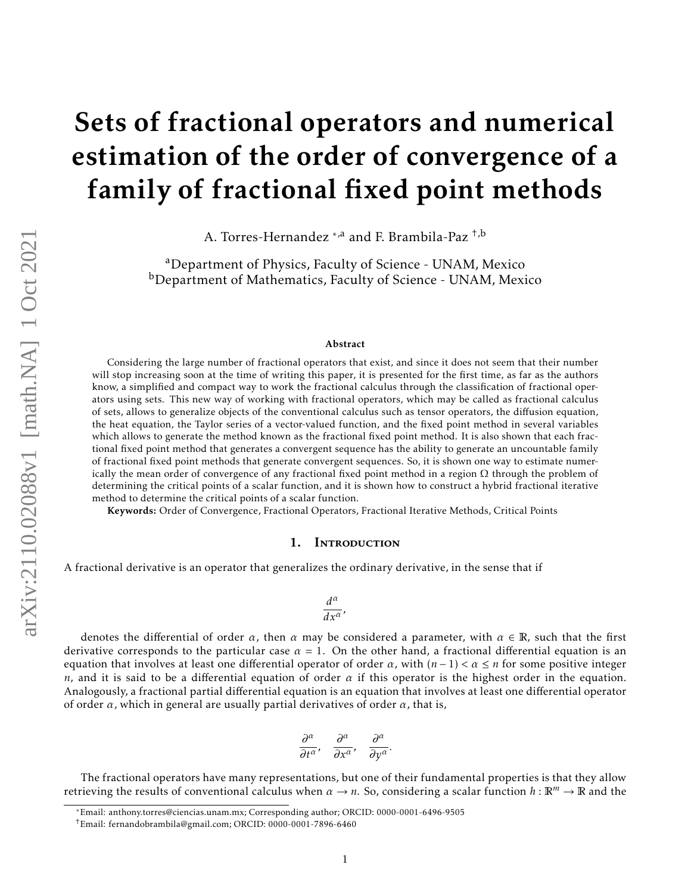# Sets of fractional operators and numerical estimation of the order of convergence of a family of fractional fixed point methods

A. Torres-Hernandez \*,a and F. Brambila-Paz <sup>+,b</sup>

<sup>a</sup>Department of Physics, Faculty of Science - UNAM, Mexico bDepartment of Mathematics, Faculty of Science - UNAM, Mexico

#### Abstract

Considering the large number of fractional operators that exist, and since it does not seem that their number will stop increasing soon at the time of writing this paper, it is presented for the first time, as far as the authors know, a simplified and compact way to work the fractional calculus through the classification of fractional operators using sets. This new way of working with fractional operators, which may be called as fractional calculus of sets, allows to generalize objects of the conventional calculus such as tensor operators, the diffusion equation, the heat equation, the Taylor series of a vector-valued function, and the fixed point method in several variables which allows to generate the method known as the fractional fixed point method. It is also shown that each fractional fixed point method that generates a convergent sequence has the ability to generate an uncountable family of fractional fixed point methods that generate convergent sequences. So, it is shown one way to estimate numerically the mean order of convergence of any fractional fixed point method in a region  $\Omega$  through the problem of determining the critical points of a scalar function, and it is shown how to construct a hybrid fractional iterative method to determine the critical points of a scalar function.

Keywords: Order of Convergence, Fractional Operators, Fractional Iterative Methods, Critical Points

### 1. Introduction

A fractional derivative is an operator that generalizes the ordinary derivative, in the sense that if

$$
\frac{d^{\alpha }}{dx^{\alpha }},
$$

denotes the differential of order  $\alpha$ , then  $\alpha$  may be considered a parameter, with  $\alpha \in \mathbb{R}$ , such that the first derivative corresponds to the particular case  $\alpha = 1$ . On the other hand, a fractional differential equation is an equation that involves at least one differential operator of order  $\alpha$ , with  $(n-1) < \alpha \leq n$  for some positive integer *n*, and it is said to be a differential equation of order  $\alpha$  if this operator is the highest order in the equation. Analogously, a fractional partial differential equation is an equation that involves at least one differential operator of order *α*, which in general are usually partial derivatives of order *α*, that is,

$$
\frac{\partial^{\alpha}}{\partial t^{\alpha}}, \quad \frac{\partial^{\alpha}}{\partial x^{\alpha}}, \quad \frac{\partial^{\alpha}}{\partial y^{\alpha}}
$$

*.*

The fractional operators have many representations, but one of their fundamental properties is that they allow retrieving the results of conventional calculus when  $\alpha \to n$ . So, considering a scalar function  $h : \mathbb{R}^m \to \mathbb{R}$  and the

<sup>\*</sup>Email: anthony.torres@ciencias.unam.mx; Corresponding author; ORCID: 0000-0001-6496-9505

<sup>†</sup>Email: fernandobrambila@gmail.com; ORCID: 0000-0001-7896-6460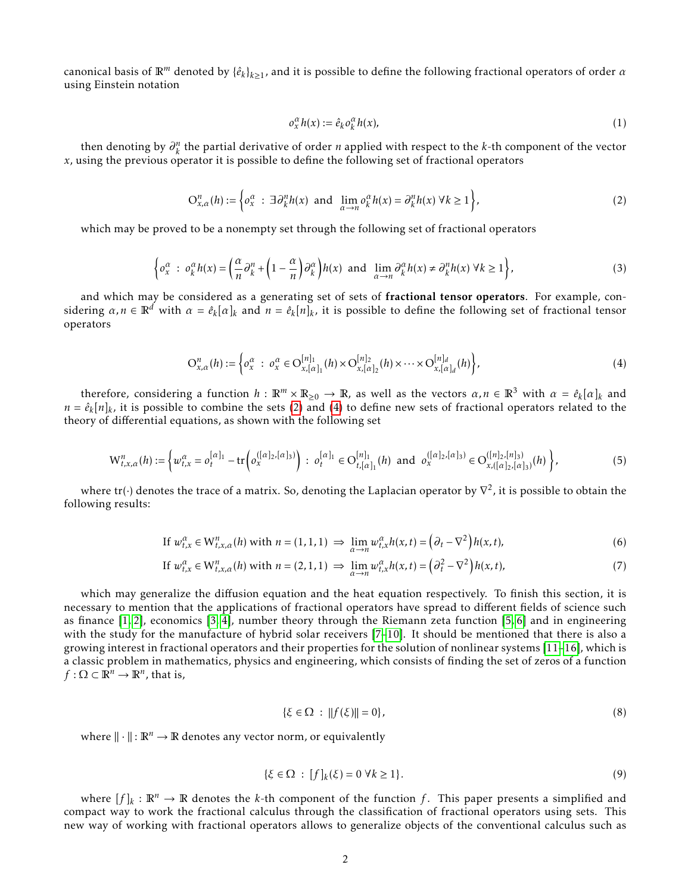canonical basis of  $\mathbb{R}^m$  denoted by  $\{\hat{e}_k\}_{k\geq 1}$ , and it is possible to define the following fractional operators of order  $\alpha$ using Einstein notation

$$
o_x^{\alpha}h(x) := \hat{e}_k o_k^{\alpha}h(x),\tag{1}
$$

then denoting by  $\partial_k^n$  the partial derivative of order *n* applied with respect to the *k*-th component of the vector *x*, using the previous operator it is possible to define the following set of fractional operators

<span id="page-1-0"></span>
$$
O_{x,\alpha}^n(h) := \left\{ o_x^{\alpha} \ : \ \exists \partial_k^n h(x) \ \text{and} \ \lim_{\alpha \to n} o_k^{\alpha} h(x) = \partial_k^n h(x) \ \forall k \ge 1 \right\},\tag{2}
$$

which may be proved to be a nonempty set through the following set of fractional operators

$$
\left\{ o_x^{\alpha} \; : \; o_k^{\alpha} h(x) = \left( \frac{\alpha}{n} \partial_k^n + \left( 1 - \frac{\alpha}{n} \right) \partial_k^{\alpha} \right) h(x) \; \text{ and } \; \lim_{\alpha \to n} \partial_k^{\alpha} h(x) \neq \partial_k^n h(x) \; \forall k \ge 1 \right\},\tag{3}
$$

and which may be considered as a generating set of sets of fractional tensor operators. For example, considering  $\alpha, n \in \mathbb{R}^d$  with  $\alpha = \hat{e}_k[\alpha]_k$  and  $n = \hat{e}_k[n]_k$ , it is possible to define the following set of fractional tensor operators

<span id="page-1-1"></span>
$$
O_{x,\alpha}^n(h) := \left\{ o_x^{\alpha} : o_x^{\alpha} \in O_{x,[\alpha]_1}^{[n]_1}(h) \times O_{x,[\alpha]_2}^{[n]_2}(h) \times \cdots \times O_{x,[\alpha]_d}^{[n]_d}(h) \right\},\tag{4}
$$

therefore, considering a function  $h:\mathbb{R}^m\times\mathbb{R}_{\geq 0}\to\mathbb{R}$ , as well as the vectors  $\alpha,n\in\mathbb{R}^3$  with  $\alpha=\hat{e}_k[\alpha]_k$  and  $n = \hat{e}_k[n]_k$ , it is possible to combine the sets [\(2\)](#page-1-0) and [\(4\)](#page-1-1) to define new sets of fractional operators related to the theory of differential equations, as shown with the following set

$$
\mathcal{W}_{t,x,\alpha}^{n}(h) := \left\{ w_{t,x}^{\alpha} = o_t^{[\alpha]_1} - \text{tr}\left( o_x^{([\alpha]_2, [\alpha]_3)} \right) : \ o_t^{[\alpha]_1} \in O_{t,[\alpha]_1}^{[n]_1}(h) \ \text{and} \ o_x^{([\alpha]_2, [\alpha]_3)} \in O_{x,([\alpha]_2, [\alpha]_3)}^{([\alpha]_2, [\alpha]_3)}(h) \right\},\tag{5}
$$

where tr( $\cdot$ ) denotes the trace of a matrix. So, denoting the Laplacian operator by  $\nabla^2$ , it is possible to obtain the following results:

If 
$$
w_{t,x}^{\alpha} \in W_{t,x,\alpha}^n(h)
$$
 with  $n = (1,1,1) \Rightarrow \lim_{\alpha \to n} w_{t,x}^{\alpha} h(x,t) = (\partial_t - \nabla^2) h(x,t),$  (6)

If 
$$
w_{t,x}^{\alpha} \in W_{t,x,\alpha}^n(h)
$$
 with  $n = (2,1,1) \Rightarrow \lim_{\alpha \to n} w_{t,x}^{\alpha} h(x,t) = (\partial_t^2 - \nabla^2) h(x,t)$ , 
$$
\tag{7}
$$

which may generalize the diffusion equation and the heat equation respectively. To finish this section, it is necessary to mention that the applications of fractional operators have spread to different fields of science such as finance [\[1,](#page-13-0) [2\]](#page-13-1), economics [\[3,](#page-13-2) [4\]](#page-13-3), number theory through the Riemann zeta function [\[5,](#page-13-4) [6\]](#page-13-5) and in engineering with the study for the manufacture of hybrid solar receivers [\[7](#page-13-6)[–10\]](#page-13-7). It should be mentioned that there is also a growing interest in fractional operators and their properties for the solution of nonlinear systems [\[11](#page-13-8)[–16\]](#page-13-9), which is a classic problem in mathematics, physics and engineering, which consists of finding the set of zeros of a function  $f: \Omega \subset \mathbb{R}^n \to \mathbb{R}^n$ , that is,

$$
\{\xi \in \Omega : ||f(\xi)|| = 0\},\tag{8}
$$

where  $\|\cdot\|: \mathbb{R}^n \to \mathbb{R}$  denotes any vector norm, or equivalently

$$
\{\xi \in \Omega : [f]_k(\xi) = 0 \,\forall k \ge 1\}.\tag{9}
$$

where  $[f]_k : \mathbb{R}^n \to \mathbb{R}$  denotes the *k*-th component of the function f. This paper presents a simplified and compact way to work the fractional calculus through the classification of fractional operators using sets. This new way of working with fractional operators allows to generalize objects of the conventional calculus such as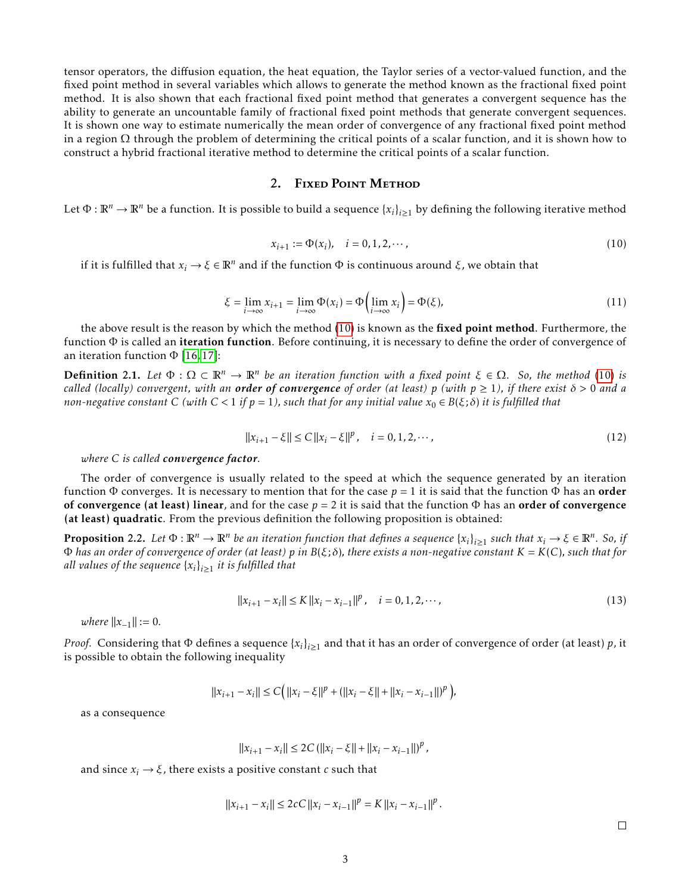tensor operators, the diffusion equation, the heat equation, the Taylor series of a vector-valued function, and the fixed point method in several variables which allows to generate the method known as the fractional fixed point method. It is also shown that each fractional fixed point method that generates a convergent sequence has the ability to generate an uncountable family of fractional fixed point methods that generate convergent sequences. It is shown one way to estimate numerically the mean order of convergence of any fractional fixed point method in a region  $\Omega$  through the problem of determining the critical points of a scalar function, and it is shown how to construct a hybrid fractional iterative method to determine the critical points of a scalar function.

### 2. FIXED POINT METHOD

Let  $\Phi:\mathbb{R}^n\to\mathbb{R}^n$  be a function. It is possible to build a sequence  $\{x_i\}_{i\geq 1}$  by defining the following iterative method

<span id="page-2-0"></span>
$$
x_{i+1} := \Phi(x_i), \quad i = 0, 1, 2, \cdots,
$$
\n(10)

if it is fulfilled that *x<sup>i</sup>* → *ξ* ∈ R*<sup>n</sup>* and if the function Φ is continuous around *ξ*, we obtain that

$$
\xi = \lim_{i \to \infty} x_{i+1} = \lim_{i \to \infty} \Phi(x_i) = \Phi\left(\lim_{i \to \infty} x_i\right) = \Phi(\xi),\tag{11}
$$

the above result is the reason by which the method [\(10\)](#page-2-0) is known as the fixed point method. Furthermore, the function  $\Phi$  is called an iteration function. Before continuing, it is necessary to define the order of convergence of an iteration function  $\Phi$  [\[16,](#page-13-9) [17\]](#page-14-0):

**Definition 2.1.** Let  $\Phi : \Omega \subset \mathbb{R}^n \to \mathbb{R}^n$  be an iteration function with a fixed point  $\xi \in \Omega$ . So, the method [\(10\)](#page-2-0) is *called (locally) convergent, with an order of convergence of order (at least)*  $p$  *(with*  $p \ge 1$ *), if there exist*  $\delta > 0$  *and a non-negative constant C* (with  $C < 1$  *if*  $p = 1$ *), such that for any initial value*  $x_0 \in B(\xi; \delta)$  *it is fulfilled that* 

$$
||x_{i+1} - \xi|| \le C ||x_i - \xi||^p, \quad i = 0, 1, 2, \cdots,
$$
\n(12)

*where C is called convergence factor.*

The order of convergence is usually related to the speed at which the sequence generated by an iteration function  $\Phi$  converges. It is necessary to mention that for the case  $p = 1$  it is said that the function  $\Phi$  has an **order** of convergence (at least) linear, and for the case  $p = 2$  it is said that the function  $\Phi$  has an order of convergence (at least) quadratic. From the previous definition the following proposition is obtained:

<span id="page-2-1"></span>**Proposition** 2.2. Let  $\Phi$  :  $\mathbb{R}^n \to \mathbb{R}^n$  be an iteration function that defines a sequence  $\{x_i\}_{i\geq 1}$  such that  $x_i \to \xi \in \mathbb{R}^n$ . So, if Φ *has an order of convergence of order (at least) p in B*(*ξ*;*δ*)*, there exists a non-negative constant K* = *K*(*C*)*, such that for* all values of the sequence  $\left\{ x_i \right\}_{i \geq 1}$  it is fulfilled that

$$
||x_{i+1} - x_i|| \le K ||x_i - x_{i-1}||^p, \quad i = 0, 1, 2, \cdots,
$$
\n(13)

*where*  $||x_{-1}|| := 0$ .

*Proof.* Considering that  $\Phi$  defines a sequence  $\{x_i\}_{i\geq 1}$  and that it has an order of convergence of order (at least)  $p$ , it is possible to obtain the following inequality

$$
||x_{i+1} - x_i|| \le C \Big( ||x_i - \xi||^p + (||x_i - \xi|| + ||x_i - x_{i-1}||)^p \Big),
$$

as a consequence

 $||x_{i+1} - x_i|| \leq 2C(||x_i - \xi|| + ||x_i - x_{i-1}||)^p$ ,

and since  $x_i \rightarrow \xi$ , there exists a positive constant *c* such that

$$
||x_{i+1} - x_i|| \le 2cC ||x_i - x_{i-1}||^p = K ||x_i - x_{i-1}||^p.
$$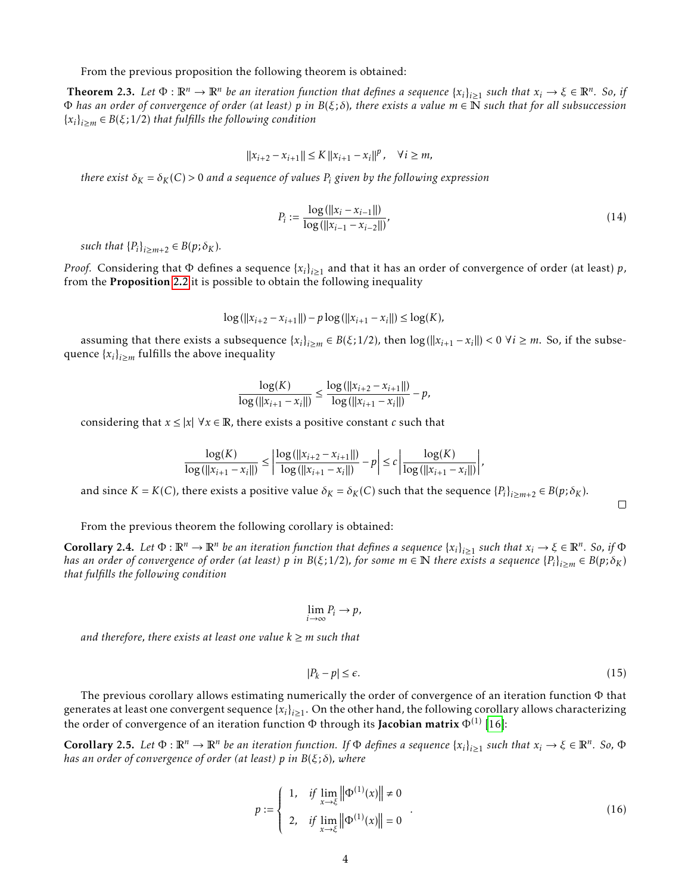From the previous proposition the following theorem is obtained:

<span id="page-3-0"></span>**Theorem 2.3.** Let  $\Phi : \mathbb{R}^n \to \mathbb{R}^n$  be an iteration function that defines a sequence  $\{x_i\}_{i\geq 1}$  such that  $x_i \to \xi \in \mathbb{R}^n$ . So, if Φ *has an order of convergence of order (at least) p in B*(*ξ*;*δ*)*, there exists a value m* ∈ N *such that for all subsuccession* {*xi* } *<sup>i</sup>*≥*<sup>m</sup>* <sup>∈</sup> *<sup>B</sup>*(*ξ*; 1*/*2) *that fulfills the following condition*

$$
||x_{i+2} - x_{i+1}|| \le K ||x_{i+1} - x_i||^p, \quad \forall i \ge m,
$$

*there exist*  $\delta_K = \delta_K(C) > 0$  *and a sequence of values*  $P_i$  *given by the following expression* 

$$
P_i := \frac{\log \left( ||x_i - x_{i-1}|| \right)}{\log \left( ||x_{i-1} - x_{i-2}|| \right)},\tag{14}
$$

*such that*  ${P_i}_{i \ge m+2} \in B(p; \delta_K)$ *.* 

*Proof.* Considering that  $\Phi$  defines a sequence  $\{x_i\}_{i\geq 1}$  and that it has an order of convergence of order (at least) *p*, from the Proposition [2.2](#page-2-1) it is possible to obtain the following inequality

$$
\log(||x_{i+2} - x_{i+1}||) - p \log(||x_{i+1} - x_i||) \le \log(K),
$$

assuming that there exists a subsequence  $\{x_i\}_{i\geq m} \in B(\xi; 1/2)$ , then  $\log(||x_{i+1} - x_i||) < 0 \ \forall i \geq m$ . So, if the subsequence  $\{x_i\}_{i \geq m}$  fulfills the above inequality

$$
\frac{\log(K)}{\log(||x_{i+1} - x_i||)} \le \frac{\log(||x_{i+2} - x_{i+1}||)}{\log(||x_{i+1} - x_i||)} - p,
$$

considering that  $x \le |x| \forall x \in \mathbb{R}$ , there exists a positive constant *c* such that

$$
\frac{\log(K)}{\log(\|x_{i+1}-x_i\|)} \le \left|\frac{\log(\|x_{i+2}-x_{i+1}\|)}{\log(\|x_{i+1}-x_i\|)} - p\right| \le c \left|\frac{\log(K)}{\log(\|x_{i+1}-x_i\|)}\right|,
$$

and since  $K = K(C)$ , there exists a positive value  $\delta_K = \delta_K(C)$  such that the sequence  $\{P_i\}_{i \ge m+2} \in B(p; \delta_K)$ .

 $\Box$ 

From the previous theorem the following corollary is obtained:

**Corollary 2.4.** Let  $\Phi : \mathbb{R}^n \to \mathbb{R}^n$  be an iteration function that defines a sequence  $\{x_i\}_{i\geq 1}$  such that  $x_i \to \xi \in \mathbb{R}^n$ . So, if  $\Phi$ has an order of convergence of order (at least)  $p$  in B( $\xi;1/2$ ), for some  $m\in\mathbb{N}$  there exists a sequence  $\{P_i\}_{i\geq m}\in B(p;\delta_K)$ *that fulfills the following condition*

$$
\lim_{i\to\infty}P_i\to p,
$$

*and therefore, there exists at least one value*  $k \ge m$  *such that* 

$$
|P_k - p| \le \epsilon. \tag{15}
$$

The previous corollary allows estimating numerically the order of convergence of an iteration function Φ that generates at least one convergent sequence  $\{x_i\}_{i\geq 1}$ . On the other hand, the following corollary allows characterizing the order of convergence of an iteration function  $\Phi$  through its **Jacobian matrix**  $\Phi^{(1)}$  [\[16\]](#page-13-9):

<span id="page-3-1"></span>**Corollary 2.5.** Let  $\Phi : \mathbb{R}^n \to \mathbb{R}^n$  be an iteration function. If  $\Phi$  defines a sequence  $\{x_i\}_{i\geq 1}$  such that  $x_i \to \xi \in \mathbb{R}^n$ . So,  $\Phi$ *has an order of convergence of order (at least) p in B*(*ξ*;*δ*)*, where*

$$
p := \begin{cases} 1, & \text{if } \lim_{x \to \xi} \|\Phi^{(1)}(x)\| \neq 0 \\ 2, & \text{if } \lim_{x \to \xi} \|\Phi^{(1)}(x)\| = 0 \end{cases}
$$
 (16)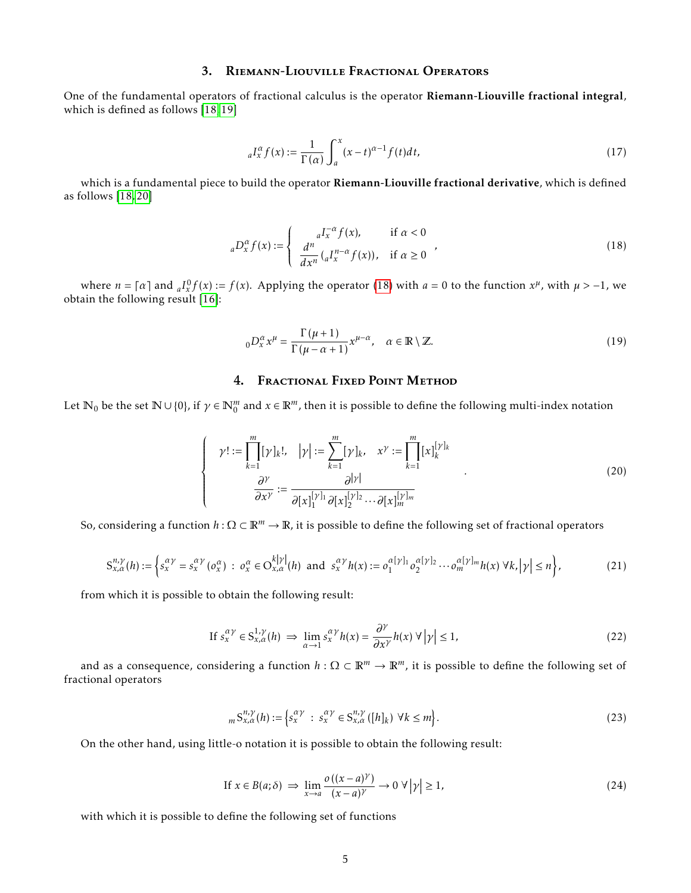## 3. Riemann-Liouville Fractional Operators

One of the fundamental operators of fractional calculus is the operator Riemann-Liouville fractional integral, which is defined as follows [\[18,](#page-14-1) [19\]](#page-14-2)

$$
{}_{a}I_{x}^{\alpha}f(x) := \frac{1}{\Gamma(\alpha)} \int_{a}^{x} (x - t)^{\alpha - 1} f(t) dt,
$$
\n(17)

which is a fundamental piece to build the operator Riemann-Liouville fractional derivative, which is defined as follows [\[18,](#page-14-1) [20\]](#page-14-3)

<span id="page-4-0"></span>
$$
{}_{a}D_{x}^{\alpha}f(x) := \begin{cases} \n a^{I_{x}^{-\alpha}}f(x), & \text{if } \alpha < 0 \\
\frac{d^{n}}{dx^{n}}\left( {}_{a}I_{x}^{n-\alpha}f(x)\right), & \text{if } \alpha \geq 0\n \end{cases} \tag{18}
$$

where  $n = \lceil \alpha \rceil$  and  ${}_{a}I_{x}^{0}f(x) := f(x)$ . Applying the operator [\(18\)](#page-4-0) with  $a = 0$  to the function  $x^{\mu}$ , with  $\mu > -1$ , we obtain the following result [\[16\]](#page-13-9):

<span id="page-4-1"></span>
$$
{}_{0}D_{x}^{\alpha}x^{\mu} = \frac{\Gamma(\mu+1)}{\Gamma(\mu-\alpha+1)}x^{\mu-\alpha}, \quad \alpha \in \mathbb{R} \setminus \mathbb{Z}.
$$
 (19)

## 4. Fractional Fixed Point Method

Let  $\mathbb{N}_0$  be the set  $\mathbb{N} \cup \{0\}$ , if  $\gamma \in \mathbb{N}_0^m$  and  $x \in \mathbb{R}^m$ , then it is possible to define the following multi-index notation

$$
\gamma! := \prod_{k=1}^{m} [\gamma]_k!, \quad |\gamma| := \sum_{k=1}^{m} [\gamma]_k, \quad x^{\gamma} := \prod_{k=1}^{m} [x]_k^{[\gamma]_k}
$$
  

$$
\frac{\partial^{\gamma}}{\partial x^{\gamma}} := \frac{\partial^{|\gamma|}}{\partial [x]_1^{[\gamma]_1} \partial [x]_2^{[\gamma]_2} \cdots \partial [x]_m^{[\gamma]_m}}
$$
\n(20)

So, considering a function *h* : Ω ⊂ R*<sup>m</sup>* → R, it is possible to define the following set of fractional operators

$$
S_{x,\alpha}^{n,\gamma}(h) := \left\{ s_x^{\alpha\gamma} = s_x^{\alpha\gamma} \left( o_x^{\alpha} \right) : \ o_x^{\alpha} \in O_{x,\alpha}^{k|\gamma|}(h) \text{ and } s_x^{\alpha\gamma} h(x) := o_1^{\alpha[\gamma]_1} o_2^{\alpha[\gamma]_2} \cdots o_m^{\alpha[\gamma]_m} h(x) \ \forall k, |\gamma| \le n \right\},\tag{21}
$$

from which it is possible to obtain the following result:

 $\sqrt{ }$  $\left\{\right.$ 

 $\begin{array}{c} \hline \end{array}$ 

$$
\text{If } s_x^{\alpha \gamma} \in \mathcal{S}_{x,\alpha}^{1,\gamma}(h) \implies \lim_{\alpha \to 1} s_x^{\alpha \gamma} h(x) = \frac{\partial^{\gamma}}{\partial x^{\gamma}} h(x) \ \forall \ |\gamma| \le 1,
$$
\n
$$
(22)
$$

and as a consequence, considering a function  $h: \Omega \subset \mathbb{R}^m \to \mathbb{R}^m$ , it is possible to define the following set of fractional operators

$$
{}_{m}S_{x,\alpha}^{n,\gamma}(h) := \left\{ s_{x}^{\alpha\gamma} \ : \ s_{x}^{\alpha\gamma} \in S_{x,\alpha}^{n,\gamma}([h]_{k}) \ \forall k \leq m \right\}.
$$

On the other hand, using little-o notation it is possible to obtain the following result:

If 
$$
x \in B(a; \delta) \implies \lim_{x \to a} \frac{o((x-a)^{\gamma})}{(x-a)^{\gamma}} \to 0 \ \forall |\gamma| \ge 1,
$$
 (24)

with which it is possible to define the following set of functions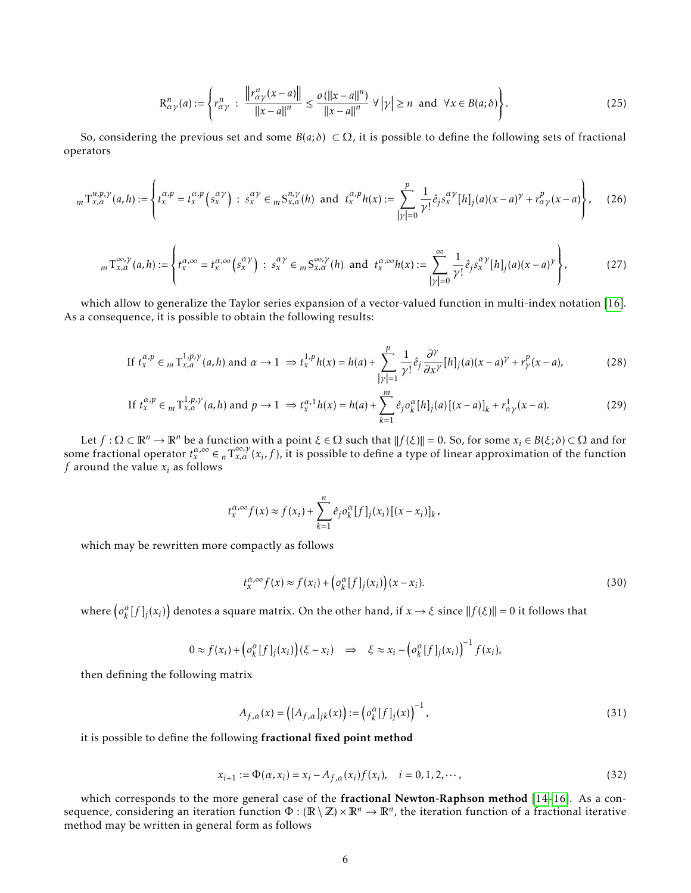$$
\mathcal{R}^n_{\alpha\gamma}(a) := \left\{ r^n_{\alpha\gamma} \; : \; \frac{\left\| r^n_{\alpha\gamma}(x-a) \right\|}{\left\| x-a \right\|^n} \le \frac{o\left( \left\| x-a \right\|^n \right)}{\left\| x-a \right\|^n} \; \forall \left| \gamma \right| \ge n \text{ and } \forall x \in B(a;\delta) \right\}. \tag{25}
$$

So, considering the previous set and some  $B(a; \delta) \subset \Omega$ , it is possible to define the following sets of fractional operators

$$
{}_{m}T_{x,\alpha}^{n,p,\gamma}(a,h):=\left\{t_{x}^{\alpha,p}=t_{x}^{\alpha,p}\left(s_{x}^{\alpha\gamma}\right)\,\colon\, s_{x}^{\alpha\gamma}\in{}_{m}S_{x,\alpha}^{n,\gamma}(h)\,\text{ and }\, t_{x}^{\alpha,p}h(x):=\sum_{|\gamma|=0}^{p}\frac{1}{\gamma!}\hat{e}_{j}s_{x}^{\alpha\gamma}[h]_{j}(a)(x-a)^{\gamma}+r_{\alpha\gamma}^{p}(x-a)\right\},\qquad(26)
$$

$$
{}_{m}\Upsilon_{x,\alpha}^{\infty,\gamma}(a,h):=\left\{t_{x}^{\alpha,\infty}=t_{x}^{\alpha,\infty}\left(s_{x}^{\alpha\gamma}\right)\,\colon\, s_{x}^{\alpha\gamma}\in{}_{m}S_{x,\alpha}^{\infty,\gamma}(h)\,\text{ and }\, t_{x}^{\alpha,\infty}h(x):=\sum_{|\gamma|=0}^{\infty}\frac{1}{\gamma!}\hat{e}_{j}s_{x}^{\alpha\gamma}[h]_{j}(a)(x-a)^{\gamma}\right\},\tag{27}
$$

which allow to generalize the Taylor series expansion of a vector-valued function in multi-index notation [\[16\]](#page-13-9). As a consequence, it is possible to obtain the following results:

$$
\text{If } t_x^{\alpha, p} \in {}_m \mathcal{T}_{x, \alpha}^{1, p, \gamma}(a, h) \text{ and } \alpha \to 1 \implies t_x^{1, p} h(x) = h(a) + \sum_{|\gamma| = 1}^p \frac{1}{\gamma!} \hat{e}_j \frac{\partial^\gamma}{\partial x^\gamma} [h]_j(a)(x - a)^\gamma + r_\gamma^p(x - a),\tag{28}
$$

$$
\text{If } t_x^{\alpha, p} \in {}_m \mathcal{T}_{x, \alpha}^{1, p, \gamma}(a, h) \text{ and } p \to 1 \implies t_x^{\alpha, 1} h(x) = h(a) + \sum_{k=1}^m \hat{e}_j o_k^{\alpha}[h]_j(a) [(x - a)]_k + r_{\alpha \gamma}^1(x - a). \tag{29}
$$

Let  $f: \Omega \subset \mathbb{R}^n \to \mathbb{R}^n$  be a function with a point  $\xi \in \Omega$  such that  $||f(\xi)|| = 0$ . So, for some  $x_i \in B(\xi;\delta) \subset \Omega$  and for some fractional operator  $t_x^{\alpha, \infty} \in n T_{x,\alpha}^{\alpha, \infty}(x_i, f)$ , it is possible to define a type of linear approximation of the function *f* around the value  $x_i$  as follows

$$
t_x^{\alpha,\infty} f(x) \approx f(x_i) + \sum_{k=1}^n \hat{e}_j o_k^{\alpha} [f]_j(x_i) [(x - x_i)]_k,
$$

which may be rewritten more compactly as follows

$$
t_x^{\alpha,\infty} f(x) \approx f(x_i) + \left( o_k^{\alpha} [f]_j(x_i) \right) (x - x_i). \tag{30}
$$

where  $(o_k^{\alpha}[f]_j(x_i))$  denotes a square matrix. On the other hand, if  $x \to \xi$  since  $||f(\xi)|| = 0$  it follows that

$$
0 \approx f(x_i) + \left( \sigma_k^{\alpha}[f]_j(x_i) \right) (\xi - x_i) \quad \Rightarrow \quad \xi \approx x_i - \left( \sigma_k^{\alpha}[f]_j(x_i) \right)^{-1} f(x_i),
$$

then defining the following matrix

$$
A_{f,\alpha}(x) = ([A_{f,\alpha}]_{jk}(x)) := (o_k^{\alpha}[f]_j(x))^{-1},
$$
\n(31)

it is possible to define the following fractional fixed point method

$$
x_{i+1} := \Phi(\alpha, x_i) = x_i - A_{f,\alpha}(x_i) f(x_i), \quad i = 0, 1, 2, \cdots,
$$
\n(32)

which corresponds to the more general case of the fractional Newton-Raphson method [\[14](#page-13-10)-16]. As a consequence, considering an iteration function  $\Phi : (\mathbb{R} \setminus \mathbb{Z}) \times \mathbb{R}^n \to \mathbb{R}^n$ , the iteration function of a fractional iterative method may be written in general form as follows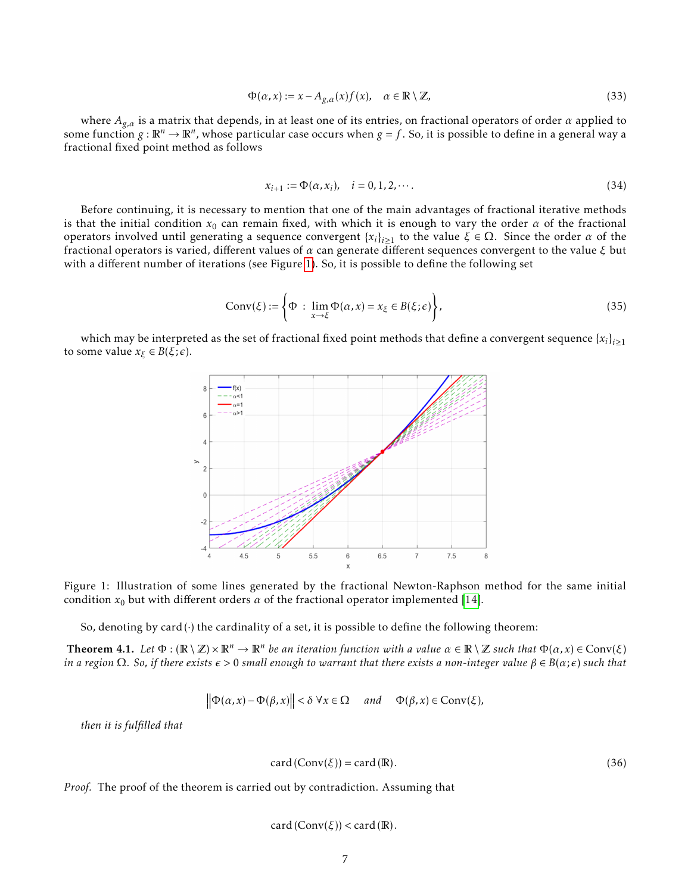<span id="page-6-3"></span>
$$
\Phi(\alpha, x) := x - A_{g,\alpha}(x) f(x), \quad \alpha \in \mathbb{R} \setminus \mathbb{Z}, \tag{33}
$$

where *Ag,α* is a matrix that depends, in at least one of its entries, on fractional operators of order *α* applied to some function  $g:\mathbb{R}^n\to\mathbb{R}^n$ , whose particular case occurs when  $g=f.$  So, it is possible to define in a general way a fractional fixed point method as follows

<span id="page-6-2"></span>
$$
x_{i+1} := \Phi(\alpha, x_i), \quad i = 0, 1, 2, \cdots.
$$
 (34)

Before continuing, it is necessary to mention that one of the main advantages of fractional iterative methods is that the initial condition  $x_0$  can remain fixed, with which it is enough to vary the order  $\alpha$  of the fractional operators involved until generating a sequence convergent  $\{x_i\}_{i\geq 1}$  to the value  $\xi \in \Omega$ . Since the order  $\alpha$  of the fractional operators is varied, different values of *α* can generate different sequences convergent to the value *ξ* but with a different number of iterations (see Figure [1\)](#page-6-0). So, it is possible to define the following set

$$
Conv(\xi) := \left\{ \Phi \; : \; \lim_{x \to \xi} \Phi(\alpha, x) = x_{\xi} \in B(\xi; \epsilon) \right\},\tag{35}
$$

<span id="page-6-0"></span>which may be interpreted as the set of fractional fixed point methods that define a convergent sequence  $\{x_i\}_{i\geq 1}$ to some value  $x_{\xi} \in B(\xi; \epsilon)$ .



Figure 1: Illustration of some lines generated by the fractional Newton-Raphson method for the same initial condition  $x_0$  but with different orders  $\alpha$  of the fractional operator implemented [\[14\]](#page-13-10).

So, denoting by card $(\cdot)$  the cardinality of a set, it is possible to define the following theorem:

<span id="page-6-1"></span>**Theorem 4.1.** Let  $\Phi : (\mathbb{R} \setminus \mathbb{Z}) \times \mathbb{R}^n \to \mathbb{R}^n$  be an iteration function with a value  $\alpha \in \mathbb{R} \setminus \mathbb{Z}$  such that  $\Phi(\alpha, x) \in Conv(\xi)$ *in a region*  $\Omega$ *. So, if there exists*  $\epsilon > 0$  *small enough to warrant that there exists a non-integer value*  $\beta \in B(\alpha; \epsilon)$  *such that* 

$$
\|\Phi(\alpha, x) - \Phi(\beta, x)\| < \delta \ \forall x \in \Omega \quad and \quad \Phi(\beta, x) \in Conv(\xi),
$$

*then it is fulfilled that*

$$
card (Conv(\xi)) = card (R).
$$
 (36)

*Proof.* The proof of the theorem is carried out by contradiction. Assuming that

$$
card(Conv(\xi)) < card(\mathbb{R}).
$$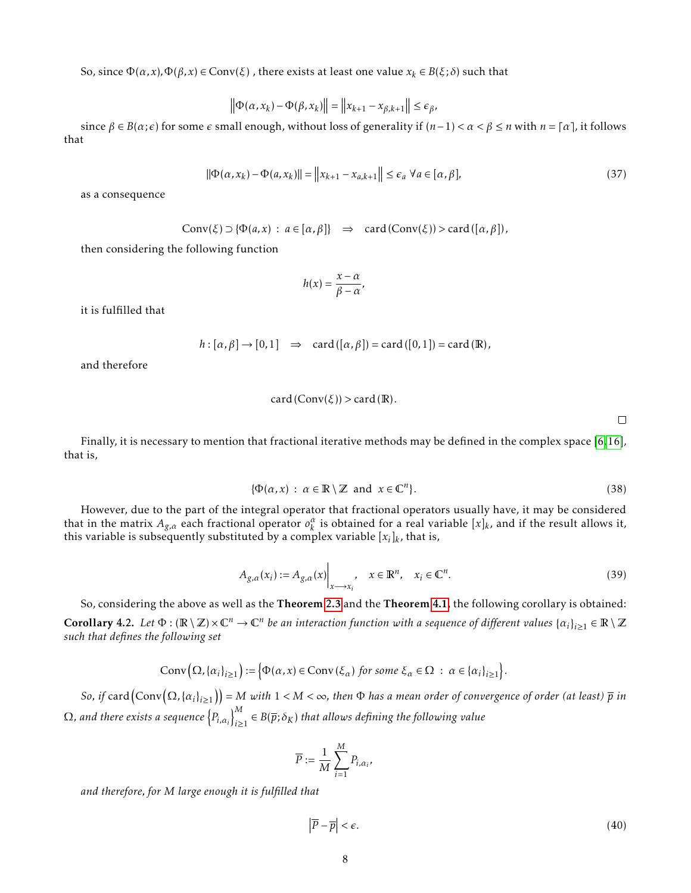So, since Φ(*α, x*)*,*Φ(*β, x*) ∈ Conv(*ξ*) , there exists at least one value *x<sup>k</sup>* ∈ *B*(*ξ*;*δ*) such that

$$
\left\|\Phi(\alpha, x_k) - \Phi(\beta, x_k)\right\| = \left\|x_{k+1} - x_{\beta, k+1}\right\| \le \epsilon_\beta,
$$

since  $\beta \in B(\alpha; \epsilon)$  for some  $\epsilon$  small enough, without loss of generality if  $(n-1) < \alpha < \beta \le n$  with  $n = \lceil \alpha \rceil$ , it follows that

$$
\|\Phi(\alpha, x_k) - \Phi(a, x_k)\| = \left\|x_{k+1} - x_{a,k+1}\right\| \le \epsilon_a \ \forall a \in [\alpha, \beta],\tag{37}
$$

as a consequence

$$
Conv(\xi) \supset {\Phi(a,x) : a \in [\alpha, \beta]} \Rightarrow \text{card}(Conv(\xi)) > \text{card}([\alpha, \beta]),
$$

then considering the following function

$$
h(x)=\frac{x-\alpha}{\beta-\alpha},
$$

it is fulfilled that

$$
h: [\alpha, \beta] \to [0, 1] \Rightarrow \text{card}([\alpha, \beta]) = \text{card}([0, 1]) = \text{card}(\mathbb{R}),
$$

and therefore

$$
card(Conv(\xi)) > card(R).
$$

 $\Box$ 

Finally, it is necessary to mention that fractional iterative methods may be defined in the complex space [\[6,](#page-13-5)[16\]](#page-13-9), that is,

$$
\{\Phi(\alpha, x) : \alpha \in \mathbb{R} \setminus \mathbb{Z} \text{ and } x \in \mathbb{C}^n\}. \tag{38}
$$

However, due to the part of the integral operator that fractional operators usually have, it may be considered that in the matrix  $A_{g,a}$  each fractional operator  $o_k^a$  is obtained for a real variable  $[x]_k$ , and if the result allows it, this variable is subsequently substituted by a complex variable [*x<sup>i</sup>* ]*k* , that is,

$$
A_{g,\alpha}(x_i) := A_{g,\alpha}(x) \Big|_{x \to x_i}, \quad x \in \mathbb{R}^n, \quad x_i \in \mathbb{C}^n.
$$
 (39)

So, considering the above as well as the Theorem [2.3](#page-3-0) and the Theorem [4.1](#page-6-1), the following corollary is obtained:  $\bf{Corollary 4.2.}$  Let  $\Phi: (\mathbb{R}\setminus\mathbb{Z})\times\mathbb{C}^n\to\mathbb{C}^n$  be an interaction function with a sequence of different values  $\{a_i\}_{i\geq 1}\in\mathbb{R}\setminus\mathbb{Z}$ *such that defines the following set*

$$
Conv(\Omega, \{\alpha_i\}_{i\geq 1}):=\big\{\Phi(\alpha, x)\in Conv(\xi_{\alpha})\text{ for some }\xi_{\alpha}\in\Omega\;:\;\alpha\in\{\alpha_i\}_{i\geq 1}\big\}.
$$

So, if  ${\rm card}\big({\rm Conv}\big(\Omega,\{\alpha_i\}_{i\geq 1}\big)\big)$  = M with  $1< M<\infty$ , then  $\Phi$  has a mean order of convergence of order (at least)  $\overline{p}$  in  $Ω$ , and there exists a sequence  $\left\{P_{i,\alpha_i}\right\}_{i>1}^{M}$  $\sum_{i\geq 1}^M \in B(\overline{p};\delta_K)$  that allows defining the following value

$$
\overline{P} := \frac{1}{M} \sum_{i=1}^{M} P_{i, \alpha_i},
$$

*and therefore, for M large enough it is fulfilled that*

$$
\left|\overline{P} - \overline{p}\right| < \epsilon. \tag{40}
$$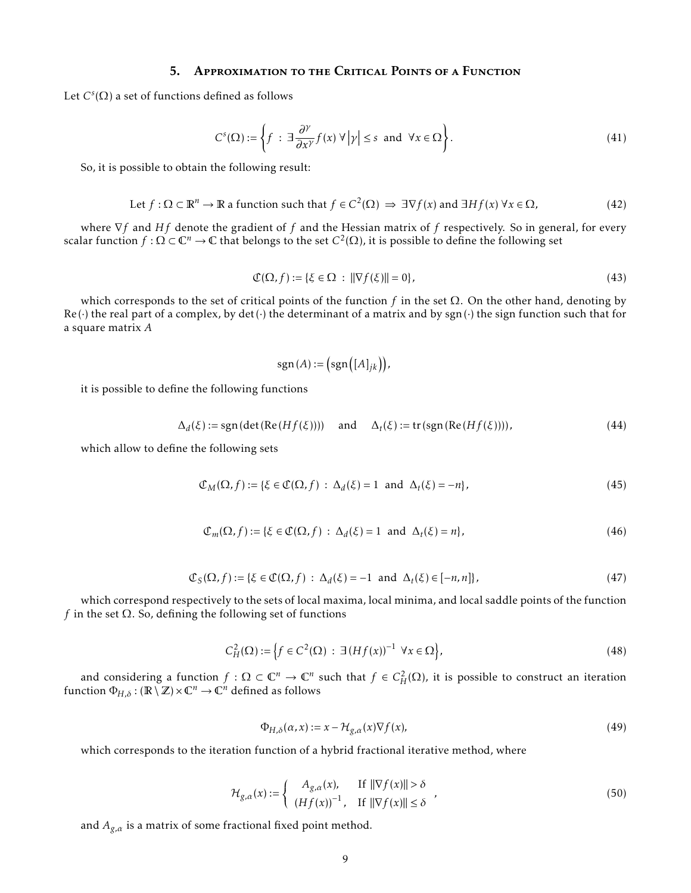## 5. Approximation to the Critical Points of a Function

Let  $C^{s}(\Omega)$  a set of functions defined as follows

$$
C^{s}(\Omega) := \left\{ f \; : \; \exists \frac{\partial^{\gamma}}{\partial x^{\gamma}} f(x) \; \forall \, |\gamma| \le s \text{ and } \forall x \in \Omega \right\}.
$$

So, it is possible to obtain the following result:

Let 
$$
f : \Omega \subset \mathbb{R}^n \to \mathbb{R}
$$
 a function such that  $f \in C^2(\Omega) \implies \exists \nabla f(x)$  and  $\exists Hf(x) \,\forall x \in \Omega$ ,  $(42)$ 

where ∇*f* and *Hf* denote the gradient of *f* and the Hessian matrix of *f* respectively. So in general, for every scalar function  $f : \Omega \subset \mathbb{C}^n \to \mathbb{C}$  that belongs to the set  $C^2(\Omega)$ , it is possible to define the following set

$$
\mathcal{C}(\Omega, f) := \{ \xi \in \Omega \, : \, \|\nabla f(\xi)\| = 0 \},\tag{43}
$$

which corresponds to the set of critical points of the function *f* in the set Ω. On the other hand, denoting by  $Re(\cdot)$  the real part of a complex, by det( $\cdot$ ) the determinant of a matrix and by sgn( $\cdot$ ) the sign function such that for a square matrix *A*

$$
sgn(A) := (sgn([A]_{jk})),
$$

it is possible to define the following functions

$$
\Delta_d(\xi) := \text{sgn}(\det(\text{Re}(Hf(\xi)))) \quad \text{and} \quad \Delta_t(\xi) := \text{tr}(\text{sgn}(\text{Re}(Hf(\xi)))) \tag{44}
$$

which allow to define the following sets

$$
\mathcal{C}_M(\Omega, f) := \{ \xi \in \mathcal{C}(\Omega, f) : \Delta_d(\xi) = 1 \text{ and } \Delta_f(\xi) = -n \},\tag{45}
$$

$$
\mathcal{C}_m(\Omega, f) := \{ \xi \in \mathcal{C}(\Omega, f) : \Delta_d(\xi) = 1 \text{ and } \Delta_t(\xi) = n \},\tag{46}
$$

$$
\mathcal{C}_{S}(\Omega, f) := \{ \xi \in \mathcal{C}(\Omega, f) : \Delta_{d}(\xi) = -1 \text{ and } \Delta_{t}(\xi) \in [-n, n] \},\tag{47}
$$

which correspond respectively to the sets of local maxima, local minima, and local saddle points of the function *f* in the set  $\Omega$ . So, defining the following set of functions

$$
C_H^2(\Omega) := \left\{ f \in C^2(\Omega) \, : \, \exists \left( Hf(x) \right)^{-1} \, \forall x \in \Omega \right\},\tag{48}
$$

and considering a function  $f: \Omega \subset \mathbb{C}^n \to \mathbb{C}^n$  such that  $f \in C^2_H(\Omega)$ , it is possible to construct an iteration function  $\Phi_{H,\delta}:(\mathbb{R}\setminus\mathbb{Z})\times\mathbb{C}^n\to\mathbb{C}^n$  defined as follows

$$
\Phi_{H,\delta}(\alpha, x) := x - \mathcal{H}_{g,\alpha}(x) \nabla f(x),\tag{49}
$$

which corresponds to the iteration function of a hybrid fractional iterative method, where

$$
\mathcal{H}_{g,\alpha}(x) := \begin{cases} A_{g,\alpha}(x), & \text{If } ||\nabla f(x)|| > \delta \\ (Hf(x))^{-1}, & \text{If } ||\nabla f(x)|| \le \delta \end{cases}
$$
\n(50)

and  $A_{g,a}$  is a matrix of some fractional fixed point method.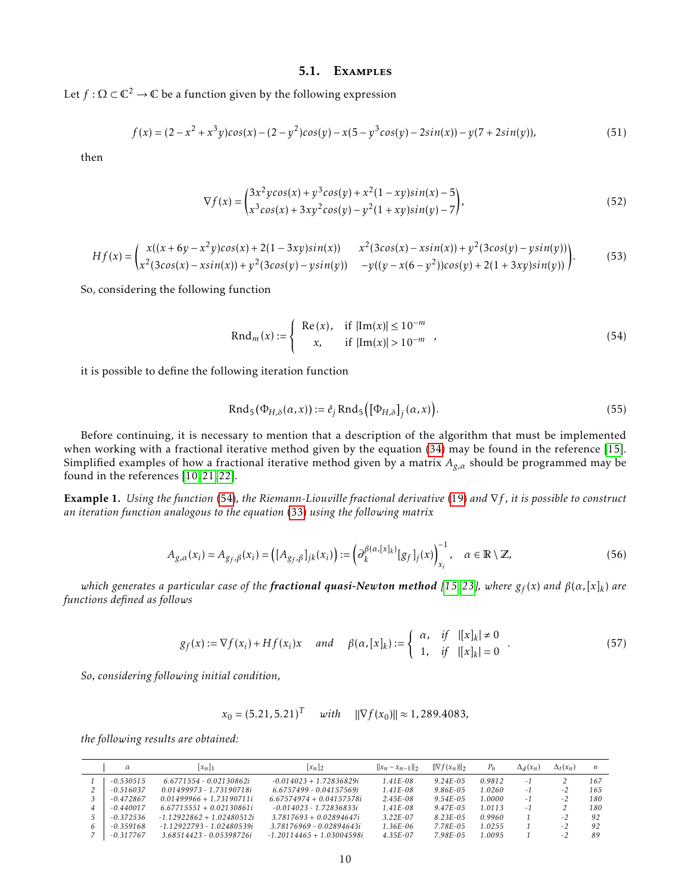#### 5.1. Examples

Let  $f : \Omega \subset \mathbb{C}^2 \to \mathbb{C}$  be a function given by the following expression

$$
f(x) = (2 - x^2 + x^3y)\cos(x) - (2 - y^2)\cos(y) - x(5 - y^3\cos(y) - 2\sin(x)) - y(7 + 2\sin(y)),
$$
\n(51)

then

$$
\nabla f(x) = \begin{pmatrix} 3x^2y\cos(x) + y^3\cos(y) + x^2(1 - xy)\sin(x) - 5\\ x^3\cos(x) + 3xy^2\cos(y) - y^2(1 + xy)\sin(y) - 7 \end{pmatrix},
$$
(52)

$$
Hf(x) = \begin{pmatrix} x((x+6y-x^2y)cos(x)+2(1-3xy)sin(x)) & x^2(3cos(x)-xsin(x))+y^2(3cos(y)-ysin(y)) \\ x^2(3cos(x)-xsin(x))+y^2(3cos(y)-ysin(y)) & -y((y-x(6-y^2))cos(y)+2(1+3xy)sin(y)) \end{pmatrix}.
$$
(53)

So, considering the following function

<span id="page-9-0"></span>
$$
Rnd_m(x) := \begin{cases} Re(x), & \text{if } |\text{Im}(x)| \le 10^{-m} \\ x, & \text{if } |\text{Im}(x)| > 10^{-m} \end{cases}
$$
(54)

it is possible to define the following iteration function

<span id="page-9-1"></span>
$$
Rnd_5(\Phi_{H,\delta}(\alpha, x)) := \hat{e}_j \text{Rnd}_5\big([\Phi_{H,\delta}]_j(\alpha, x)\big).
$$
\n(55)

Before continuing, it is necessary to mention that a description of the algorithm that must be implemented when working with a fractional iterative method given by the equation [\(34\)](#page-6-2) may be found in the reference [\[15\]](#page-13-11). Simplified examples of how a fractional iterative method given by a matrix *Ag,α* should be programmed may be found in the references [\[10,](#page-13-7) [21,](#page-14-4) [22\]](#page-14-5).

Example 1. *Using the function* [\(54\)](#page-9-0)*, the Riemann-Liouville fractional derivative* [\(19\)](#page-4-1) *and* ∇*f , it is possible to construct an iteration function analogous to the equation* [\(33\)](#page-6-3) *using the following matrix*

<span id="page-9-2"></span>
$$
A_{g,\alpha}(x_i) = A_{g_f,\beta}(x_i) = \left( [A_{g_f,\beta}]_{jk}(x_i) \right) := \left( \partial_k^{\beta(\alpha,[x]_k)} [g_f]_j(x) \right)_{x_i}^{-1}, \quad \alpha \in \mathbb{R} \setminus \mathbb{Z}, \tag{56}
$$

*which generates a particular case of the fractional quasi-Newton method [\[15,](#page-13-11) [23\]](#page-14-6), where g<sup>f</sup>* (*x*) *and β*(*α,*[*x*]*<sup>k</sup>* ) *are functions defined as follows*

<span id="page-9-3"></span>
$$
g_f(x) := \nabla f(x_i) + Hf(x_i)x \quad \text{and} \quad \beta(\alpha, [x]_k) := \begin{cases} \alpha, & \text{if} \quad |[x]_k| \neq 0 \\ 1, & \text{if} \quad |[x]_k| = 0 \end{cases} \tag{57}
$$

*So, considering following initial condition,*

$$
x_0 = (5.21, 5.21)^T
$$
 with  $\|\nabla f(x_0)\| \approx 1,289.4083$ ,

*the following results are obtained:*

| $\alpha$    | $ x_n _1$                   | $ x_n _2$                   | $  x_n - x_{n-1}  _2$ | $\ \nabla f(x_n)\ _2$ | $P_n$  | $\Delta_d(x_n)$ | $\Delta_t(x_n)$ | n   |
|-------------|-----------------------------|-----------------------------|-----------------------|-----------------------|--------|-----------------|-----------------|-----|
| $-0.530515$ | $6.6771554 - 0.02130862i$   | $-0.014023 + 1.72836829i$   | $1.41E - 0.8$         | $9.24E - 0.5$         | 0.9812 | - 1             |                 | 167 |
| $-0.516037$ | 0.01499973 - 1.73190718i    | $6.6757499 - 0.04157569i$   | $1.41E - 0.8$         | $9.86E - 0.5$         | 1.0260 | $-1$            | $-2$            | 165 |
| $-0.472867$ | $0.01499966 + 1.73190711i$  | $6.67574974 + 0.04157578i$  | $2.45E - 0.8$         | $9.54E - 0.5$         | 1.0000 | -1              | - 2             | 180 |
| $-0.440017$ | $6.67715551 + 0.02130861i$  | $-0.014023 - 1.72836833i$   | $1.41E - 0.8$         | $9.47E - 0.5$         | 1.0113 | -1              |                 | 180 |
| $-0.372536$ | $-1$ 12922862 + 102480512i  | $3.7817693 + 0.02894647i$   | $3.22E - 07$          | $8.23E - 0.5$         | 0.9960 |                 | $-2$            | 92  |
| $-0.359168$ | $-1.12922793 - 1.02480539i$ | 3.78176969 - 0.02894643i    | $1.36E - 06$          | 7.78E-05              | 1.0255 |                 | - 2             | 92  |
| $-0.317767$ | 3.68514423 - 0.05398726i    | $-1.20114465 + 1.03004598i$ | $4.35E - 07$          | 7.98E-05              | 1.0095 |                 |                 | 89  |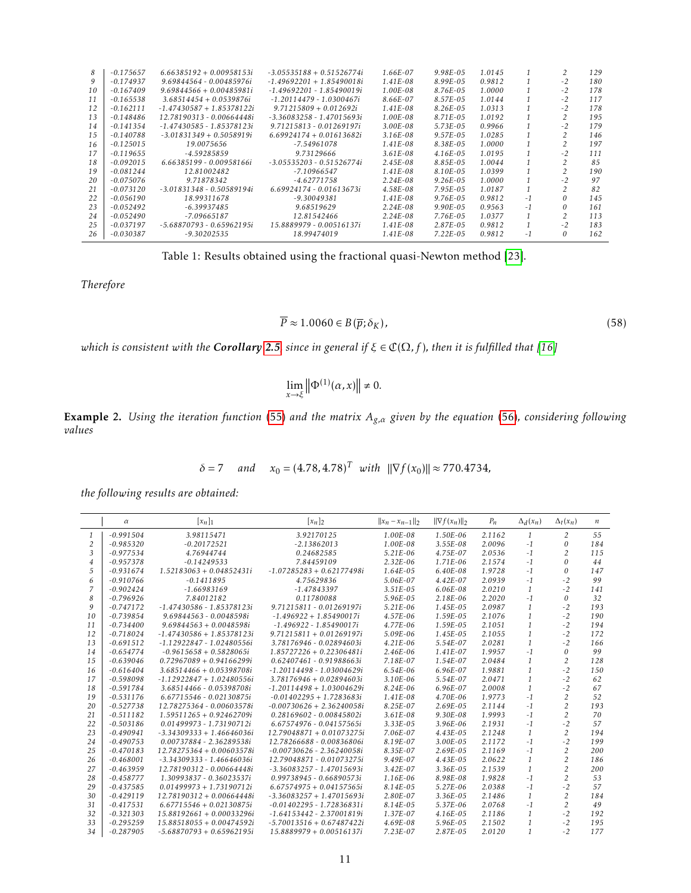| 8   | $-0.175657$ | $6.66385192 + 0.00958153i$  | $-3.05535188 + 0.51526774i$ | 1.66E-07      | $9.98E - 0.5$ | 1.0145 |     |                | 129 |
|-----|-------------|-----------------------------|-----------------------------|---------------|---------------|--------|-----|----------------|-----|
| 9   | $-0.174937$ | 9.69844564 - 0.00485976i    | $-1.49692201 + 1.85490018i$ | $1.41E - 0.8$ | $8.99E - 0.5$ | 0.9812 |     | $-2$           | 180 |
| 10  | $-0.167409$ | $9.69844566 + 0.00485981i$  | -1.49692201 - 1.85490019i   | 1.00E-08      | 8.76E-05      | 1.0000 |     | $-2$           | 178 |
| 11  | $-0.165538$ | $3.68514454 + 0.0539876i$   | $-1.20114479 - 1.0300467i$  | 8.66E-07      | $8.57E - 0.5$ | 1.0144 |     | $-2$           | 117 |
| 12  | $-0.162111$ | $-1.47430587 + 1.85378122i$ | $9.71215809 + 0.012692i$    | $1.41E - 0.8$ | $8.26E - 0.5$ | 1.0313 |     | $-2$           | 178 |
| 13  | $-0.148486$ | 12.78190313 - 0.00664448i   | -3.36083258 - 1.47015693i   | 1.00E-08      | $8.71E - 0.5$ | 1.0192 |     | $\overline{c}$ | 195 |
| 14  | $-0.141354$ | $-1.47430585 - 1.85378123i$ | $9.71215813 - 0.01269197i$  | $3.00E - 0.8$ | $5.73E - 0.5$ | 0.9966 |     | $-2$           | 179 |
| 1.5 | $-0.140788$ | $-3.01831349 + 0.5058919i$  | $6.69924174 + 0.01613682i$  | $3.16E - 0.8$ | $9.57E - 0.5$ | 1.0285 |     |                | 146 |
| 16  | $-0.125015$ | 19.0075656                  | -7.54961078                 | $1.41E - 0.8$ | 8.38E-05      | 1.0000 |     |                | 197 |
| 17  | $-0.119655$ | $-4.59285859$               | 9.73129666                  | $3.61E - 0.8$ | 4.16E-05      | 1.0195 |     | $-2$           | 111 |
| 18  | $-0.092015$ | 6.66385199 - 0.00958166i    | $-3.05535203 - 0.51526774i$ | $2.45E - 0.8$ | 8.85E-05      | 1.0044 |     | $\mathcal{L}$  | 85  |
| 19  | $-0.081244$ | 12.81002482                 | $-7.10966547$               | $1.41E - 0.8$ | 8.10E-05      | 1.0399 |     | $\mathfrak{p}$ | 190 |
| 20  | $-0.075076$ | 9.71878342                  | $-4.62771758$               | $2.24E - 0.8$ | $9.26E - 0.5$ | 1.0000 |     | $-2$           | 97  |
| 21  | $-0.073120$ | $-3.01831348 - 0.50589194i$ | $6.69924174 - 0.01613673i$  | 4.58E-08      | $7.95E-0.5$   | 1.0187 |     | $\mathcal{D}$  | 82  |
| 22  | $-0.056190$ | 18.99311678                 | $-9.30049381$               | $1.41E - 0.8$ | $9.76E - 0.5$ | 0.9812 | -1  |                | 145 |
| 23  | $-0.052492$ | $-6.39937485$               | 9.68519629                  | $2.24E - 0.8$ | $9.90E - 0.5$ | 0.9563 | - 1 | 0              | 161 |
| 24  | $-0.052490$ | $-7.09665187$               | 12.81542466                 | $2.24E - 0.8$ | 7.76E-05      | 1.0377 |     | 2              | 113 |
| 25  | $-0.037197$ | $-5.68870793 - 0.65962195i$ | 15.8889979 - 0.00516137i    | $1.41E - 0.8$ | 2.87E-05      | 0.9812 |     | $-2$           | 183 |
| 26  | -0.030387   | $-9.30202535$               | 18.99474019                 | $1.41E - 0.8$ | $7.22E - 0.5$ | 0.9812 | - 1 | 0              | 162 |
|     |             |                             |                             |               |               |        |     |                |     |

Table 1: Results obtained using the fractional quasi-Newton method [\[23\]](#page-14-6).

*Therefore*

$$
\overline{P} \approx 1.0060 \in B(\overline{p}; \delta_K),\tag{58}
$$

*which is consistent with the Corollary* [2.5](#page-3-1), since in general if  $\xi \in \mathbb{C}(\Omega, f)$ , then it is fulfilled that [\[16\]](#page-13-9)

$$
\lim_{x \to \xi} \left\| \Phi^{(1)}(\alpha, x) \right\| \neq 0.
$$

Example 2. *Using the iteration function* [\(55\)](#page-9-1) *and the matrix Ag,α given by the equation* [\(56\)](#page-9-2)*, considering following values*

$$
\delta = 7 \quad \text{and} \quad x_0 = (4.78, 4.78)^T \text{ with } ||\nabla f(x_0)|| \approx 770.4734,
$$

*the following results are obtained:*

|                | $\alpha$    | $\left[x_n\right]_1$        | $[x_n]_2$                   | $  x_n - x_{n-1}  _2$ | $\ \nabla f(x_n)\ _2$ | $P_n$  | $\Delta_d(x_n)$ | $\Delta_t(x_n)$ | $\boldsymbol{n}$ |
|----------------|-------------|-----------------------------|-----------------------------|-----------------------|-----------------------|--------|-----------------|-----------------|------------------|
| $\mathbf{1}$   | $-0.991504$ | 3.98115471                  | 3.92170125                  | 1.00E-08              | 1.50E-06              | 2.1162 | $\mathbf{1}$    | 2               | 55               |
| $\overline{2}$ | $-0.985320$ | $-0.20172521$               | $-2.13862013$               | 1.00E-08              | $3.55E-08$            | 2.0096 | $-1$            | $\theta$        | 184              |
| 3              | $-0.977534$ | 4.76944744                  | 0.24682585                  | $5.21E-06$            | 4.75E-07              | 2.0536 | $-1$            | 2               | 115              |
| 4              | $-0.957378$ | $-0.14249533$               | 7.84459109                  | $2.32E - 06$          | $1.71E-06$            | 2.1574 | $-1$            | $\theta$        | 44               |
| 5              | $-0.931674$ | $1.52183063 + 0.04852431i$  | $-1.07285283 + 0.62177498i$ | $1.64E - 0.5$         | $6.40E-08$            | 1.9728 | $-1$            | $\theta$        | 147              |
| 6              | $-0.910766$ | $-0.1411895$                | 4.75629836                  | 5.06E-07              | $4.42E - 07$          | 2.0939 | $-1$            | $-2$            | 99               |
| 7              | $-0.902424$ | $-1.66983169$               | $-1.47843397$               | $3.51E - 0.5$         | $6.06E-08$            | 2.0210 | $\mathbf{1}$    | $-2$            | 141              |
| 8              | $-0.796926$ | 7.84012182                  | 0.11780088                  | 5.96E-05              | $2.18E-06$            | 2.2020 | $-1$            | $\theta$        | 32               |
| 9              | $-0.747172$ | $-1.47430586 - 1.85378123i$ | 9.71215811 - 0.01269197i    | $5.21E-06$            | $1.45E - 0.5$         | 2.0987 | 1               | $-2$            | 193              |
| 10             | $-0.739854$ | 9.69844563 - 0.0048598i     | $-1.496922 + 1.85490017i$   | 4.57E-06              | $1.59E-0.5$           | 2.1076 | $\mathbf{1}$    | $-2$            | 190              |
| 11             | $-0.734400$ | $9.69844563 + 0.0048598i$   | $-1.496922 - 1.85490017i$   | 4.77E-06              | $1.59E-05$            | 2.1051 | $\mathbf{1}$    | $-2$            | 194              |
| 12             | $-0.718024$ | $-1.47430586 + 1.85378123i$ | $9.71215811 + 0.01269197i$  | 5.09E-06              | $1.45E - 0.5$         | 2.1055 | $\mathbf{1}$    | $-2$            | 172              |
| 13             | $-0.691512$ | -1.12922847 - 1.02480556i   | 3.78176946 - 0.02894603i    | $4.21E-06$            | 5.54E-07              | 2.0281 | $\mathbf{1}$    | $-2$            | 166              |
| 14             | $-0.654774$ | $-0.9615658 + 0.5828065i$   | $1.85727226 + 0.22306481i$  | $2.46E - 06$          | $1.41E-07$            | 1.9957 | $-1$            | $\theta$        | 99               |
| 15             | $-0.639046$ | $0.72967089 + 0.94166299i$  | 0.62407461 - 0.91988663i    | 7.18E-07              | $1.54E - 07$          | 2.0484 | 1               | 2               | 128              |
| 16             | $-0.616404$ | $3.68514466 + 0.05398708i$  | $-1.20114498 - 1.03004629i$ | $6.54E-06$            | $6.96E-07$            | 1.9881 | $\mathbf{1}$    | $-2$            | 150              |
| 17             | $-0.598098$ | $-1.12922847 + 1.02480556i$ | $3.78176946 + 0.02894603i$  | $3.10E - 06$          | 5.54E-07              | 2.0471 | $\mathbf{1}$    | $-2$            | 62               |
| 18             | $-0.591784$ | 3.68514466 - 0.05398708i    | $-1.20114498 + 1.03004629i$ | $8.24E - 06$          | $6.96E-07$            | 2.0008 | $\mathbf{1}$    | $-2$            | 67               |
| 19             | $-0.531176$ | $6.67715546 - 0.02130875i$  | $-0.01402295 + 1.7283683i$  | $1.41E-08$            | 4.70E-06              | 1.9773 | $-1$            | 2               | 52               |
| 20             | $-0.527738$ | 12.78275364 - 0.00603578i   | $-0.00730626 + 2.36240058i$ | $8.25E - 07$          | $2.69E-0.5$           | 2.1144 | $-1$            | $\overline{2}$  | 193              |
| 21             | $-0.511182$ | $1.59511265 + 0.92462709i$  | 0.28169602 - 0.00845802i    | $3.61E-08$            | $9.30E-08$            | 1.9993 | $-1$            | 2               | 70               |
| 22             | $-0.503186$ | $0.01499973 - 1.73190712i$  | 6.67574976 - 0.04157565i    | $3.33E - 0.5$         | $3.96E-06$            | 2.1931 | $-1$            | $-2$            | 57               |
| 23             | $-0.490941$ | $-3.34309333 + 1.46646036i$ | $12.79048871 + 0.01073275i$ | 7.06E-07              | $4.43E - 0.5$         | 2.1248 | $\mathbf{1}$    | $\overline{2}$  | 194              |
| 24             | $-0.490753$ | 0.00737884 - 2.36289538i    | 12.78266688 - 0.00836806i   | 8.19E-07              | $3.00E - 0.5$         | 2.1172 | $-1$            | $-2$            | 199              |
| 25             | $-0.470183$ | 12.78275364 + 0.00603578i   | $-0.00730626 - 2.36240058i$ | 8.35E-07              | $2.69E-0.5$           | 2.1169 | $-1$            | $\overline{c}$  | 200              |
| 26             | $-0.468001$ | $-3.34309333 - 1.46646036i$ | 12.79048871 - 0.01073275i   | $9.49E - 07$          | $4.43E-0.5$           | 2.0622 | $\mathbf{1}$    | $\overline{2}$  | 186              |
| 27             | $-0.463959$ | 12.78190312 - 0.00664448i   | $-3.36083257 - 1.47015693i$ | $3.42E - 07$          | $3.36E - 0.5$         | 2.1539 | $\mathbf{1}$    | $\overline{c}$  | 200              |
| 28             | $-0.458777$ | 1.30993837 - 0.36023537i    | 0.99738945 - 0.66890573i    | 1.16E-06              | 8.98E-08              | 1.9828 | $-1$            | 2               | 53               |
| 29             | $-0.437585$ | $0.01499973 + 1.73190712i$  | $6.67574975 + 0.04157565i$  | $8.14E-0.5$           | 5.27E-06              | 2.0388 | $-1$            | $-2$            | 57               |
| 30             | $-0.429119$ | $12.78190312 + 0.00664448i$ | $-3.36083257 + 1.47015693i$ | $2.80E - 07$          | $3.36E - 0.5$         | 2.1486 | $\mathbf{1}$    | 2               | 184              |
| 31             | $-0.417531$ | $6.67715546 + 0.02130875i$  | $-0.01402295 - 1.72836831i$ | $8.14E - 0.5$         | 5.37E-06              | 2.0768 | $-1$            | 2               | 49               |
| 32             | $-0.321303$ | 15.88192661 + 0.00033296i   | $-1.64153442 - 2.37001819i$ | 1.37E-07              | $4.16E-0.5$           | 2.1186 | 1               | $-2$            | 192              |
| 33             | $-0.295259$ | $15.88518055 + 0.00474592i$ | $-5.70013516 + 0.67487422i$ | 4.69E-08              | 5.96E-05              | 2.1502 | $\mathbf{1}$    | $-2$            | 195              |
| 34             | $-0.287905$ | $-5.68870793 + 0.65962195i$ | $15.8889979 + 0.00516137i$  | $7.23E - 07$          | $2.87E - 0.5$         | 2.0120 | $\mathbf{1}$    | $-2$            | 177              |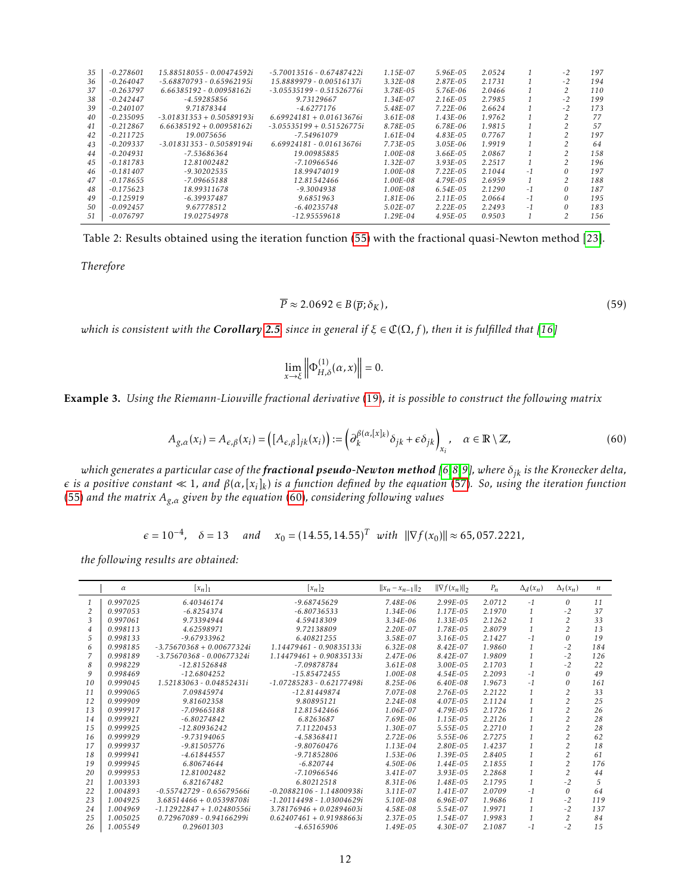| 35  | $-0.278601$ | 15.88518055 - 0.00474592i   | -5.70013516 - 0.67487422i   | $1.15E-07$    | $5.96E-0.5$   | 2.0524 |      | $-2$     | 197  |
|-----|-------------|-----------------------------|-----------------------------|---------------|---------------|--------|------|----------|------|
| 36  | $-0.264047$ | $-5.68870793 - 0.65962195i$ | 15.8889979 - 0.00516137i    | $3.32E - 0.8$ | $2.87E - 0.5$ | 2.1731 |      | $-2$     | 194  |
| 37  | $-0.263797$ | 6.66385192 - 0.00958162i    | $-3.05535199 - 0.51526776i$ | 3.78E-05      | 5.76E-06      | 2.0466 |      |          | 110  |
| 38  | $-0.242447$ | $-4.59285856$               | 9.73129667                  | $1.34E - 07$  | $2.16E - 0.5$ | 2.7985 |      | $-2$     | 199  |
| 39  | $-0.240107$ | 9.71878344                  | $-4.6277176$                | 5.48E-07      | $7.22E-06$    | 2.6624 |      | $-2$     | 173  |
| 40  | $-0.235095$ | $-3.01831353 + 0.50589193i$ | $6.69924181 + 0.01613676i$  | $3.61E - 0.8$ | $1.43E - 06$  | 1.9762 |      |          | 77   |
| 41  | $-0.212867$ | $6.66385192 + 0.00958162i$  | $-3.05535199 + 0.51526775i$ | 8.78E-05      | 6.78E-06      | 1.9815 |      |          | 57   |
| 42  | $-0.211725$ | 19.0075656                  | $-7.54961079$               | $1.61E - 04$  | $4.83E - 0.5$ | 0.7767 |      |          | 197  |
| 43  | $-0.209337$ | $-3.01831353 - 0.50589194i$ | $6.69924181 - 0.01613676i$  | 7.73E-05      | $3.05E - 06$  | 1.9919 |      |          | 64   |
| 44  | $-0.204931$ | $-7.53686364$               | 19.00985885                 | $1.00E - 0.8$ | $3.66E - 0.5$ | 2.0867 |      |          | 1.58 |
| 4.5 | $-0.181783$ | 12.81002482                 | -7.10966546                 | $1.32E - 07$  | $3.93E-05$    | 2.2517 |      |          | 196  |
| 46  | $-0.181407$ | $-9.30202535$               | 18.99474019                 | $1.00E - 0.8$ | $7.22E - 0.5$ | 2.1044 | $-1$ | $\Omega$ | 197  |
| 47  | $-0.178655$ | $-7.09665188$               | 12.81542466                 | $1.00E - 0.8$ | $4.79E - 0.5$ | 2.6959 |      |          | 188  |
| 48  | $-0.175623$ | 18.99311678                 | $-9.3004938$                | $1.00E - 0.8$ | $6.54E-0.5$   | 2.1290 | -1   | $\Omega$ | 187  |
| 49  | $-0.125919$ | $-6.39937487$               | 9.6851963                   | $1.81E - 06$  | $2.11E - 0.5$ | 2.0664 | -1   | $\Omega$ | 195  |
| 50  | $-0.092457$ | 9.67778512                  | $-6.40235748$               | $5.02E - 07$  | $2.22E - 0.5$ | 2.2493 | $-1$ | $\Omega$ | 183  |
| 51  | $-0.076797$ | 19.02754978                 | $-12.95559618$              | $1.29E - 04$  | $4.95E-05$    | 0.9503 |      |          | 156  |
|     |             |                             |                             |               |               |        |      |          |      |

Table 2: Results obtained using the iteration function [\(55\)](#page-9-1) with the fractional quasi-Newton method [\[23\]](#page-14-6).

*Therefore*

$$
\overline{P} \approx 2.0692 \in B(\overline{p}; \delta_K),\tag{59}
$$

*which is consistent with the Corollary* [2.5](#page-3-1), since in general if  $\xi \in \mathbb{C}(\Omega, f)$ , then it is fulfilled that [\[16\]](#page-13-9)

$$
\lim_{x \to \xi} \left\| \Phi_{H,\delta}^{(1)}(\alpha, x) \right\| = 0.
$$

Example 3. *Using the Riemann-Liouville fractional derivative* [\(19\)](#page-4-1)*, it is possible to construct the following matrix*

<span id="page-11-0"></span>
$$
A_{g,\alpha}(x_i) = A_{\epsilon,\beta}(x_i) = \left( [A_{\epsilon,\beta}]_{jk}(x_i) \right) := \left( \partial_k^{\beta(\alpha,[x]_k)} \delta_{jk} + \epsilon \delta_{jk} \right)_{x_i}, \quad \alpha \in \mathbb{R} \setminus \mathbb{Z}, \tag{60}
$$

*which generates a particular case of the fractional pseudo-Newton method [\[6,](#page-13-5)[8,](#page-13-12)[9\]](#page-13-13), where δjk is the Kronecker delta,*  $\epsilon$  is a positive constant  $\ll 1$ , and  $\beta(\alpha,[x_i]_k)$  is a function defined by the equation [\(57\)](#page-9-3). So, using the iteration function [\(55\)](#page-9-1) *and the matrix Ag,α given by the equation* [\(60\)](#page-11-0)*, considering following values*

$$
\epsilon = 10^{-4}
$$
,  $\delta = 13$  and  $x_0 = (14.55, 14.55)^T$  with  $\|\nabla f(x_0)\| \approx 65, 057.2221$ ,

*the following results are obtained:*

|    | $\alpha$ | $[x_n]_1$                   | $[x_n]_2$                   | $  x_n - x_{n-1}  _2$ | $\ \nabla f(x_n)\ _2$ | $P_n$  | $\Delta_d(x_n)$ | $\Delta_t(x_n)$ | n   |
|----|----------|-----------------------------|-----------------------------|-----------------------|-----------------------|--------|-----------------|-----------------|-----|
|    | 0.997025 | 6.40346174                  | $-9.68745629$               | 7.48E-06              | $2.99E - 0.5$         | 2.0712 | $-1$            | $\theta$        | 11  |
| 2  | 0.997053 | $-6.8254374$                | $-6.80736533$               | $1.34E - 06$          | $1.17E - 0.5$         | 2.1970 |                 | $-2$            | 37  |
| 3  | 0.997061 | 9.73394944                  | 4.59418309                  | $3.34E - 06$          | $1.33E-05$            | 2.1262 |                 |                 | 33  |
| 4  | 0.998113 | 4.62598971                  | 9.72138809                  | $2.20E - 07$          | 1.78E-05              | 2.8079 |                 | $\overline{c}$  | 13  |
| 5  | 0.998133 | $-9.67933962$               | 6.40821255                  | 3.58E-07              | $3.16E - 0.5$         | 2.1427 | $-1$            | 0               | 19  |
| 6  | 0.998185 | $-3.75670368 + 0.00677324i$ | 1.14479461 - 0.90835133i    | $6.32E - 0.8$         | $8.42E - 07$          | 1.9860 |                 | $-2$            | 184 |
|    | 0.998189 | $-3.75670368 - 0.00677324i$ | $1.14479461 + 0.90835133i$  | $2.47E - 06$          | $8.42E - 07$          | 1.9809 |                 | $-2$            | 126 |
| 8  | 0.998229 | $-12.81526848$              | $-7.09878784$               | $3.61E-08$            | $3.00E - 05$          | 2.1703 |                 | $-2$            | 22  |
| 9  | 0.998469 | $-12.6804252$               | $-15.85472455$              | 1.00E-08              | $4.54E - 05$          | 2.2093 | $-1$            | 0               | 49  |
| 10 | 0.999045 | 1.52183063 - 0.04852431i    | $-1.07285283 - 0.62177498i$ | $8.25E - 06$          | $6.40E - 0.8$         | 1.9673 | $-1$            | 0               | 161 |
| 11 | 0.999065 | 7.09845974                  | $-12.81449874$              | 7.07E-08              | $2.76E - 0.5$         | 2.2122 |                 |                 | 33  |
| 12 | 0.999909 | 9.81602358                  | 9.80895121                  | $2.24E - 0.8$         | $4.07E - 0.5$         | 2.1124 |                 |                 | 25  |
| 13 | 0.999917 | $-7.09665188$               | 12.81542466                 | 1.06E-07              | $4.79E - 0.5$         | 2.1726 |                 |                 | 26  |
| 14 | 0.999921 | $-6.80274842$               | 6.8263687                   | 7.69E-06              | 1.15E-05              | 2.2126 |                 |                 | 28  |
| 15 | 0.999925 | $-12.80936242$              | 7.11220453                  | $1.30E - 07$          | 5.55E-05              | 2.2710 |                 |                 | 28  |
| 16 | 0.999929 | $-9.73194065$               | $-4.58368411$               | $2.72E - 06$          | 5.55E-06              | 2.7275 |                 |                 | 62  |
| 17 | 0.999937 | $-9.81505776$               | $-9.80760476$               | $1.13E-04$            | $2.80E - 0.5$         | 1.4237 |                 |                 | 18  |
| 18 | 0.999941 | $-4.61844557$               | $-9.71852806$               | $1.53E-06$            | 1.39E-05              | 2.8405 |                 |                 | 61  |
| 19 | 0.999945 | 6.80674644                  | $-6.820744$                 | $4.50E - 06$          | $1.44E-05$            | 2.1855 |                 |                 | 176 |
| 20 | 0.999953 | 12.81002482                 | $-7.10966546$               | $3.41E - 07$          | $3.93E - 0.5$         | 2.2868 |                 |                 | 44  |
| 21 | 1.003393 | 6.82167482                  | 6.80212518                  | 8.31E-06              | $1.48E - 0.5$         | 2.1795 |                 | $-2$            | 5   |
| 22 | 1.004893 | $-0.55742729 - 0.65679566i$ | $-0.20882106 - 1.14800938i$ | $3.11E-07$            | $1.41E-07$            | 2.0709 | $-1$            | 0               | 64  |
| 23 | 1.004925 | $3.68514466 + 0.05398708i$  | $-1.20114498 - 1.03004629i$ | 5.10E-08              | 6.96E-07              | 1.9686 |                 | $-2$            | 119 |
| 24 | 1.004969 | $-1.12922847 + 1.02480556i$ | $3.78176946 + 0.02894603i$  | 4.58E-08              | 5.54E-07              | 1.9971 |                 | $-2$            | 137 |
| 25 | 1.005025 | 0.72967089 - 0.94166299i    | $0.62407461 + 0.91988663i$  | $2.37E - 0.5$         | $1.54E - 07$          | 1.9983 |                 | 2               | 84  |
| 26 | 1.005549 | 0.29601303                  | $-4.65165906$               | $1.49E - 0.5$         | 4.30E-07              | 2.1087 | $-1$            | $-2$            | 1.5 |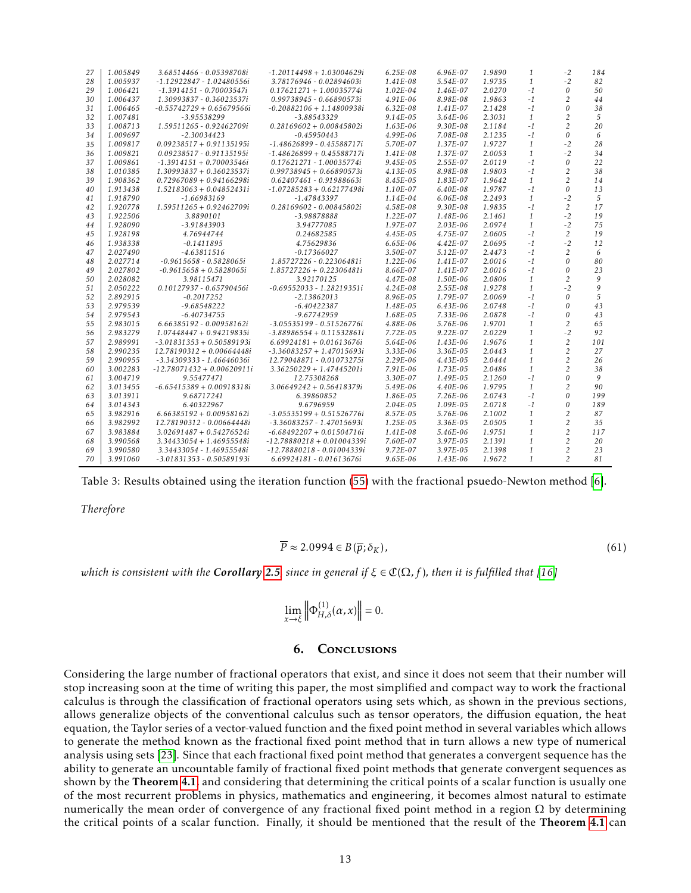| 27 | 1.005849 | 3.68514466 - 0.05398708i     | $-1.20114498 + 1.03004629i$  | $6.25E-08$    | $6.96E-07$    | 1.9890 | $\mathbf{1}$  | $-2$           | 184        |
|----|----------|------------------------------|------------------------------|---------------|---------------|--------|---------------|----------------|------------|
| 28 | 1.005937 | $-1.12922847 - 1.02480556i$  | 3.78176946 - 0.02894603i     | $1.41E-08$    | $5.54E-07$    | 1.9735 | $\mathbf{1}$  | $-2$           | 82         |
| 29 | 1.006421 | $-1.3914151 - 0.70003547i$   | $0.17621271 + 1.00035774i$   | $1.02E - 04$  | 1.46E-07      | 2.0270 | $-1$          | $\theta$       | 50         |
| 30 | 1.006437 | 1.30993837 - 0.36023537i     | 0.99738945 - 0.66890573i     | $4.91E-06$    | 8.98E-08      | 1.9863 | $-1$          | $\overline{2}$ | 44         |
| 31 | 1.006465 | $-0.55742729 + 0.65679566i$  | $-0.20882106 + 1.14800938i$  | $6.32E-08$    | $1.41E-07$    | 2.1428 | $-1$          | $\theta$       | 38         |
| 32 | 1.007481 | $-3.95538299$                | -3.88543329                  | $9.14E - 0.5$ | $3.64E - 06$  | 2.3031 | $\mathbf{1}$  | $\overline{c}$ | $\sqrt{2}$ |
| 33 | 1.008713 | 1.59511265 - 0.92462709i     | $0.28169602 + 0.00845802i$   | $1.63E - 06$  | $9.30E-08$    | 2.1184 | $-1$          | $\overline{c}$ | 20         |
| 34 | 1.009697 | $-2.30034423$                | $-0.45950443$                | 4.99E-06      | 7.08E-08      | 2.1235 | $-1$          | $\theta$       | 6          |
| 35 | 1.009817 | $0.09238517 + 0.91135195i$   | $-1.48626899 - 0.45588717i$  | 5.70E-07      | 1.37E-07      | 1.9727 | $\mathbf{1}$  | $-2$           | 28         |
| 36 | 1.009821 | $0.09238517 - 0.91135195i$   | $-1.48626899 + 0.45588717i$  | $1.41E-08$    | 1.37E-07      | 2.0053 | 1             | $-2$           | 34         |
| 37 | 1.009861 | $-1.3914151 + 0.70003546i$   | $0.17621271 - 1.00035774i$   | $9.45E - 0.5$ | $2.55E-07$    | 2.0119 | $-1$          | $\theta$       | 22         |
| 38 | 1.010385 | $1.30993837 + 0.36023537i$   | $0.99738945 + 0.66890573i$   | $4.13E-0.5$   | 8.98E-08      | 1.9803 | $-1$          | $\overline{c}$ | 38         |
| 39 | 1.908362 | $0.72967089 + 0.94166298i$   | $0.62407461 - 0.91988663i$   | $8.45E - 0.5$ | 1.83E-07      | 1.9642 | 1             | $\overline{c}$ | 14         |
| 40 | 1.913438 | $1.52183063 + 0.04852431i$   | $-1.07285283 + 0.62177498i$  | $1.10E - 07$  | $6.40E-0.8$   | 1.9787 | $-1$          | $\theta$       | 13         |
| 41 | 1.918790 | $-1.66983169$                | $-1.47843397$                | $1.14E-04$    | $6.06E-08$    | 2.2493 | $\mathbf{1}$  | $-2$           | 5          |
| 42 | 1.920778 | $1.59511265 + 0.92462709i$   | 0.28169602 - 0.00845802i     | 4.58E-08      | $9.30E-08$    | 1.9835 | $-1$          | 2              | 17         |
| 43 | 1.922506 | 3.8890101                    | $-3.98878888$                | $1.22E - 07$  | 1.48E-06      | 2.1461 | 1             | $-2$           | 19         |
| 44 | 1.928090 | $-3.91843903$                | 3.94777085                   | 1.97E-07      | $2.03E - 06$  | 2.0974 | $\mathbf{1}$  | $-2$           | 75         |
| 45 | 1.928198 | 4.76944744                   | 0.24682585                   | $4.45E-05$    | 4.75E-07      | 2.0605 | $-1$          | 2              | 19         |
| 46 | 1.938338 | $-0.1411895$                 | 4.75629836                   | $6.65E-06$    | $4.42E - 07$  | 2.0695 | $-1$          | $-2$           | 12         |
| 47 | 2.027490 | $-4.63811516$                | $-0.17366027$                | $3.50E - 07$  | $5.12E - 07$  | 2.4473 | $-1$          | $\overline{2}$ | 6          |
| 48 | 2.027714 | $-0.9615658 - 0.5828065i$    | 1.85727226 - 0.22306481i     | $1.22E-06$    | $1.41E-07$    | 2.0016 | $-1$          | $\theta$       | 80         |
| 49 | 2.027802 | $-0.9615658 + 0.5828065i$    | $1.85727226 + 0.22306481i$   | 8.66E-07      | $1.41E-07$    | 2.0016 | $-1$          | $\theta$       | 23         |
| 50 | 2.028082 | 3.98115471                   | 3.92170125                   | $4.47E-08$    | 1.50E-06      | 2.0806 | $\mathbf{1}$  | $\overline{c}$ | 9          |
| 51 | 2.050222 | 0.10127937 - 0.65790456i     | $-0.69552033 - 1.28219351i$  | $4.24E-08$    | $2.55E-08$    | 1.9278 | $\mathcal{I}$ | $-2$           | 9          |
| 52 | 2.892915 | $-0.2017252$                 | $-2.13862013$                | 8.96E-05      | 1.79E-07      | 2.0069 | $-1$          | $\theta$       | 5          |
| 53 | 2.979539 | $-9.68548222$                | $-6.40422387$                | 1.48E-05      | $6.43E-06$    | 2.0748 | $-1$          | $\theta$       | 43         |
| 54 | 2.979543 | $-6.40734755$                | $-9.67742959$                | 1.68E-05      | $7.33E-06$    | 2.0878 | $-1$          | $\theta$       | 43         |
| 55 | 2.983015 | 6.66385192 - 0.00958162i     | $-3.05535199 - 0.51526776i$  | 4.88E-06      | 5.76E-06      | 1.9701 | 1             | 2              | 65         |
| 56 | 2.983279 | $1.07448447 + 0.94219835i$   | $-3.88986554 + 0.11532861i$  | $7.72E - 0.5$ | $9.22E - 07$  | 2.0229 | $\mathbf{1}$  | $-2$           | 92         |
| 57 | 2.989991 | $-3.01831353 + 0.50589193i$  | $6.69924181 + 0.01613676i$   | 5.64E-06      | $1.43E-06$    | 1.9676 | $\mathbf{1}$  | 2              | 101        |
| 58 | 2.990235 | $12.78190312 + 0.00664448i$  | $-3.36083257 + 1.47015693i$  | $3.33E - 06$  | $3.36E - 0.5$ | 2.0443 | $\mathbf{1}$  | $\overline{c}$ | 27         |
| 59 | 2.990955 | $-3.34309333 - 1.46646036i$  | 12.79048871 - 0.01073275i    | $2.29E-06$    | $4.43E-05$    | 2.0444 | $\mathbf{1}$  | $\overline{c}$ | 26         |
| 60 | 3.002283 | $-12.78071432 + 0.00620911i$ | $3.36250229 + 1.47445201i$   | $7.91E-06$    | $1.73E - 0.5$ | 2.0486 | $\mathbf{1}$  | $\overline{c}$ | 38         |
| 61 | 3.004719 | 9.55477471                   | 12.75308268                  | $3.30E - 07$  | $1.49E - 0.5$ | 2.1260 | $-1$          | $\theta$       | 9          |
| 62 | 3.013455 | $-6.65415389 + 0.00918318i$  | $3.06649242 + 0.56418379i$   | 5.49E-06      | $4.40E-06$    | 1.9795 | $\mathbf{1}$  | $\overline{c}$ | 90         |
| 63 | 3.013911 | 9.68717241                   | 6.39860852                   | 1.86E-05      | $7.26E-06$    | 2.0743 | $-1$          | $\theta$       | 199        |
| 64 | 3.014343 | 6.40322967                   | 9.6796959                    | $2.04E - 0.5$ | $1.09E - 0.5$ | 2.0718 | $-1$          | $\theta$       | 189        |
| 65 | 3.982916 | $6.66385192 + 0.00958162i$   | $-3.05535199 + 0.51526776i$  | $8.57E - 0.5$ | 5.76E-06      | 2.1002 | $\mathbf{1}$  | $\overline{c}$ | 87         |
| 66 | 3.982992 | 12.78190312 - 0.00664448i    | $-3.36083257 - 1.47015693i$  | $1.25E - 0.5$ | $3.36E - 0.5$ | 2.0505 | 1             | 2              | 35         |
| 67 | 3.983884 | $3.02691487 + 0.54276524i$   | $-6.68492207 + 0.01504716i$  | $1.41E-08$    | 5.46E-06      | 1.9751 | 1             | 2              | 117        |
| 68 | 3.990568 | $3.34433054 + 1.46955548i$   | $-12.78880218 + 0.01004339i$ | 7.60E-07      | $3.97E - 0.5$ | 2.1391 | $\mathbf{1}$  | $\overline{c}$ | 20         |
| 69 | 3.990580 | 3.34433054 - 1.46955548i     | $-12.78880218 - 0.01004339i$ | $9.72E - 07$  | $3.97E - 0.5$ | 2.1398 | 1             | $\overline{c}$ | 23         |
| 70 | 3.991060 | $-3.01831353 - 0.50589193i$  | 6.69924181 - 0.01613676i     | $9.65E - 06$  | $1.43E-06$    | 1.9672 | $\mathbf{1}$  | $\overline{2}$ | 81         |

Table 3: Results obtained using the iteration function [\(55\)](#page-9-1) with the fractional psuedo-Newton method [\[6\]](#page-13-5).

*Therefore*

$$
\overline{P} \approx 2.0994 \in B(\overline{p}; \delta_K),\tag{61}
$$

*which is consistent with the Corollary* [2.5](#page-3-1), since in general if  $\xi \in \mathbb{C}(\Omega, f)$ , then it is fulfilled that [\[16\]](#page-13-9)

$$
\lim_{x \to \xi} \left\| \Phi_{H,\delta}^{(1)}(\alpha, x) \right\| = 0.
$$

## 6. Conclusions

Considering the large number of fractional operators that exist, and since it does not seem that their number will stop increasing soon at the time of writing this paper, the most simplified and compact way to work the fractional calculus is through the classification of fractional operators using sets which, as shown in the previous sections, allows generalize objects of the conventional calculus such as tensor operators, the diffusion equation, the heat equation, the Taylor series of a vector-valued function and the fixed point method in several variables which allows to generate the method known as the fractional fixed point method that in turn allows a new type of numerical analysis using sets [\[23\]](#page-14-6). Since that each fractional fixed point method that generates a convergent sequence has the ability to generate an uncountable family of fractional fixed point methods that generate convergent sequences as shown by the Theorem [4.1](#page-6-1), and considering that determining the critical points of a scalar function is usually one of the most recurrent problems in physics, mathematics and engineering, it becomes almost natural to estimate numerically the mean order of convergence of any fractional fixed point method in a region  $\Omega$  by determining the critical points of a scalar function. Finally, it should be mentioned that the result of the Theorem [4.1](#page-6-1) can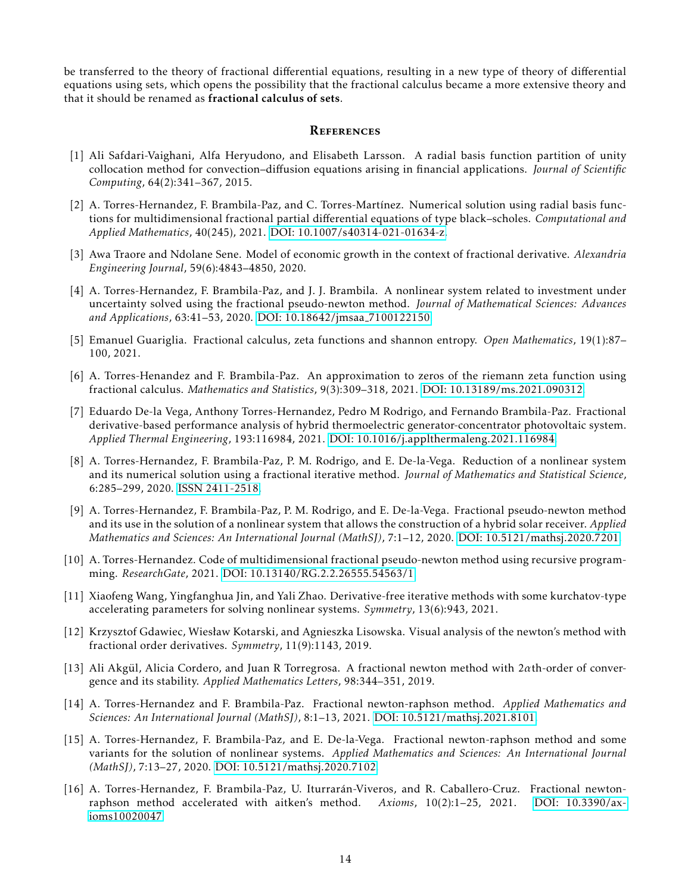be transferred to the theory of fractional differential equations, resulting in a new type of theory of differential equations using sets, which opens the possibility that the fractional calculus became a more extensive theory and that it should be renamed as fractional calculus of sets.

## **REFERENCES**

- <span id="page-13-0"></span>[1] Ali Safdari-Vaighani, Alfa Heryudono, and Elisabeth Larsson. A radial basis function partition of unity collocation method for convection–diffusion equations arising in financial applications. *Journal of Scientific Computing*, 64(2):341–367, 2015.
- <span id="page-13-1"></span>[2] A. Torres-Hernandez, F. Brambila-Paz, and C. Torres-Martínez. Numerical solution using radial basis functions for multidimensional fractional partial differential equations of type black–scholes. *Computational and Applied Mathematics*, 40(245), 2021. [DOI: 10.1007/s40314-021-01634-z.](https://www.doi.org/10.1007/s40314-021-01634-z)
- <span id="page-13-2"></span>[3] Awa Traore and Ndolane Sene. Model of economic growth in the context of fractional derivative. *Alexandria Engineering Journal*, 59(6):4843–4850, 2020.
- <span id="page-13-3"></span>[4] A. Torres-Hernandez, F. Brambila-Paz, and J. J. Brambila. A nonlinear system related to investment under uncertainty solved using the fractional pseudo-newton method. *Journal of Mathematical Sciences: Advances and Applications*, 63:41–53, 2020. [DOI: 10.18642/jmsaa](http://scientificadvances.co.in/admin/img_data/1470/images/JMSAA7100122150ATorresHernandez.pdf) 7100122150.
- <span id="page-13-4"></span>[5] Emanuel Guariglia. Fractional calculus, zeta functions and shannon entropy. *Open Mathematics*, 19(1):87– 100, 2021.
- <span id="page-13-5"></span>[6] A. Torres-Henandez and F. Brambila-Paz. An approximation to zeros of the riemann zeta function using fractional calculus. *Mathematics and Statistics*, 9(3):309–318, 2021. [DOI: 10.13189/ms.2021.090312.](http://www.hrpub.org/journals/article_info.php?aid=10822)
- <span id="page-13-6"></span>[7] Eduardo De-la Vega, Anthony Torres-Hernandez, Pedro M Rodrigo, and Fernando Brambila-Paz. Fractional derivative-based performance analysis of hybrid thermoelectric generator-concentrator photovoltaic system. *Applied Thermal Engineering*, 193:116984, 2021. [DOI: 10.1016/j.applthermaleng.2021.116984.](https://www.doi.org/10.1016/j.applthermaleng.2021.116984)
- <span id="page-13-12"></span>[8] A. Torres-Hernandez, F. Brambila-Paz, P. M. Rodrigo, and E. De-la-Vega. Reduction of a nonlinear system and its numerical solution using a fractional iterative method. *Journal of Mathematics and Statistical Science*, 6:285–299, 2020. [ISSN 2411-2518.](http://www.ss-pub.org/wp-content/uploads/2021/02/JMSS2020070201.pdf)
- <span id="page-13-13"></span>[9] A. Torres-Hernandez, F. Brambila-Paz, P. M. Rodrigo, and E. De-la-Vega. Fractional pseudo-newton method and its use in the solution of a nonlinear system that allows the construction of a hybrid solar receiver. *Applied Mathematics and Sciences: An International Journal (MathSJ)*, 7:1–12, 2020. [DOI: 10.5121/mathsj.2020.7201.](https://airccse.com/mathsj/papers/7220mathsj01.pdf)
- <span id="page-13-7"></span>[10] A. Torres-Hernandez. Code of multidimensional fractional pseudo-newton method using recursive programming. *ResearchGate*, 2021. [DOI: 10.13140/RG.2.2.26555.54563/1.](https://www.doi.org/10.13140/RG.2.2.26555.54563/1)
- <span id="page-13-8"></span>[11] Xiaofeng Wang, Yingfanghua Jin, and Yali Zhao. Derivative-free iterative methods with some kurchatov-type accelerating parameters for solving nonlinear systems. *Symmetry*, 13(6):943, 2021.
- [12] Krzysztof Gdawiec, Wiesław Kotarski, and Agnieszka Lisowska. Visual analysis of the newton's method with fractional order derivatives. *Symmetry*, 11(9):1143, 2019.
- [13] Ali Akgül, Alicia Cordero, and Juan R Torregrosa. A fractional newton method with 2ath-order of convergence and its stability. *Applied Mathematics Letters*, 98:344–351, 2019.
- <span id="page-13-10"></span>[14] A. Torres-Hernandez and F. Brambila-Paz. Fractional newton-raphson method. *Applied Mathematics and Sciences: An International Journal (MathSJ)*, 8:1–13, 2021. [DOI: 10.5121/mathsj.2021.8101.](https://airccse.com/mathsj/papers/8121mathsj01.pdf)
- <span id="page-13-11"></span>[15] A. Torres-Hernandez, F. Brambila-Paz, and E. De-la-Vega. Fractional newton-raphson method and some variants for the solution of nonlinear systems. *Applied Mathematics and Sciences: An International Journal (MathSJ)*, 7:13–27, 2020. [DOI: 10.5121/mathsj.2020.7102.](https://airccse.com/mathsj/papers/7120mathsj02.pdf)
- <span id="page-13-9"></span>[16] A. Torres-Hernandez, F. Brambila-Paz, U. Iturraran-Viveros, and R. Caballero-Cruz. Fractional newton- ´ raphson method accelerated with aitken's method. *Axioms*, 10(2):1–25, 2021. [DOI: 10.3390/ax](https://www.mdpi.com/2075-1680/10/2/47)[ioms10020047.](https://www.mdpi.com/2075-1680/10/2/47)